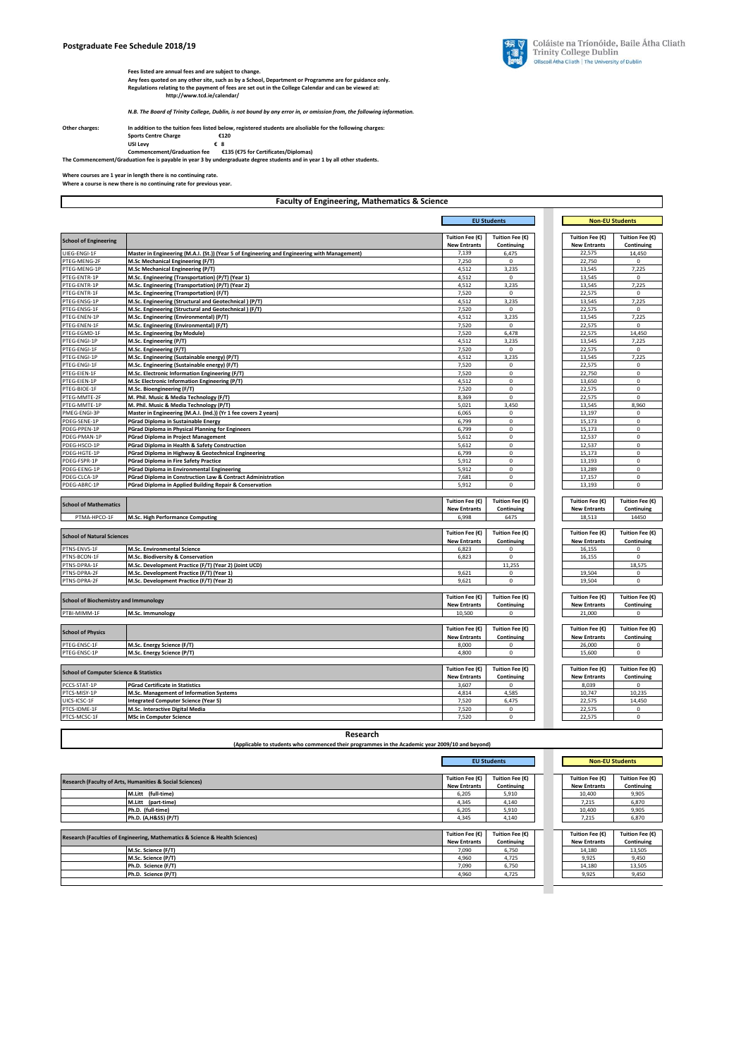

Fees listed are annual fees and are subject to change.<br>Any fees quoted on any other site, such as by a School, Department or Programme are for guidance only.<br>Regulations relating to the payment of fees are set out in the C

*N.B. The Board of Trinity College, Dublin, is not bound by any error in, or omission from, the following information.* 

| Other charges: | In addition to the tuition fees listed below, registered students are alsoliable for the following charges: |  |                                      |
|----------------|-------------------------------------------------------------------------------------------------------------|--|--------------------------------------|
|                | <b>Sports Centre Charge</b>                                                                                 |  | €120                                 |
|                | <b>USI Levy</b>                                                                                             |  | €8                                   |
|                | <b>Commencement/Graduation fee</b>                                                                          |  | €135 (€75 for Certificates/Diplomas) |

**Commencement/Graduation fee €135 (€75 for Certificates/Diplomas) The Commencement/Graduation fee is payable in year 3 by undergraduate degree students and in year 1 by all other students.**

**Where courses are 1 year in length there is no continuing rate. Where a course is new there is no continuing rate for previous year.** 

|                                                    | <b>Faculty of Engineering, Mathematics &amp; Science</b>                                        |                                        |                               |                                        |                               |  |
|----------------------------------------------------|-------------------------------------------------------------------------------------------------|----------------------------------------|-------------------------------|----------------------------------------|-------------------------------|--|
|                                                    |                                                                                                 |                                        | <b>EU Students</b>            |                                        | <b>Non-EU Students</b>        |  |
| <b>School of Engineering</b>                       |                                                                                                 | Tuition Fee (€)                        | Tuition Fee (€)               | Tuition Fee (€)                        | Tuition Fee (€)               |  |
| UIEG-ENGI-1F                                       | Master in Engineering (M.A.I. (St.)) (Year 5 of Engineering and Engineering with Management)    | <b>New Entrants</b><br>7,139           | Continuing<br>6,475           | <b>New Entrants</b><br>22,575          | Continuing<br>14,450          |  |
| PTEG-MENG-2F                                       | M.Sc Mechanical Engineering (F/T)                                                               | 7,250                                  | $\mathbf 0$                   | 22,750                                 | 0                             |  |
| PTEG-MENG-1P                                       | M.Sc Mechanical Engineering (P/T)                                                               | 4,512                                  | 3,235                         | 13,545                                 | 7,225                         |  |
| PTEG-ENTR-1P                                       | M.Sc. Engineering (Transportation) (P/T) (Year 1)                                               | 4,512                                  | $\mathbf 0$                   | 13,545                                 | $\mathbf 0$                   |  |
| PTEG-ENTR-1P                                       | M.Sc. Engineering (Transportation) (P/T) (Year 2)                                               | 4,512                                  | 3,235                         | 13,545                                 | 7,225                         |  |
| PTEG-ENTR-1F                                       | M.Sc. Engineering (Transportation) (F/T)                                                        | 7,520                                  | $\Omega$                      | 22,575                                 | $\mathbf 0$                   |  |
| PTEG-ENSG-1P                                       | M.Sc. Engineering (Structural and Geotechnical) (P/T)                                           | 4,512                                  | 3,235                         | 13,545                                 | 7,225                         |  |
| PTEG-ENSG-1F                                       | M.Sc. Engineering (Structural and Geotechnical) (F/T)                                           | 7,520                                  | $\mathbf 0$                   | 22,575                                 | $\mathbf 0$                   |  |
| PTEG-ENEN-1P                                       | M.Sc. Engineering (Environmental) (P/T)                                                         | 4,512                                  | 3,235                         | 13,545                                 | 7,225                         |  |
| PTEG-ENEN-1F                                       | M.Sc. Engineering (Environmental) (F/T)                                                         | 7,520                                  | $\Omega$                      | 22,575                                 | $\mathbf 0$                   |  |
| PTEG-EGMD-1F<br>PTEG-ENGI-1P                       | M.Sc. Engineering (by Module)<br>M.Sc. Engineering (P/T)                                        | 7,520                                  | 6,478                         | 22,575                                 | 14,450                        |  |
| PTEG-ENGI-1F                                       | M.Sc. Engineering (F/T)                                                                         | 4,512<br>7,520                         | 3,235<br>$^{\circ}$           | 13,545<br>22,575                       | 7,225<br>0                    |  |
| PTEG-ENGI-1P                                       | M.Sc. Engineering (Sustainable energy) (P/T)                                                    | 4,512                                  | 3,235                         | 13,545                                 | 7,225                         |  |
| PTEG-ENGI-1F                                       | M.Sc. Engineering (Sustainable energy) (F/T)                                                    | 7,520                                  | $\mathsf 0$                   | 22,575                                 | $\mathbf 0$                   |  |
| PTEG-EIEN-1F                                       | M.Sc. Electronic Information Engineering (F/T)                                                  | 7,520                                  | $\mathbf 0$                   | 22,750                                 | $\mathbf 0$                   |  |
| PTEG-EIEN-1P                                       | M.Sc Electronic Information Engineering (P/T)                                                   | 4,512                                  | $\mathbf 0$                   | 13,650                                 | 0                             |  |
| PTEG-BIOE-1F                                       | M.Sc. Bioengineering (F/T)                                                                      | 7,520                                  | $\mathbf 0$                   | 22,575                                 | 0                             |  |
| PTEG-MMTE-2F                                       | M. Phil. Music & Media Technology (F/T)                                                         | 8,369                                  | $\mathsf 0$                   | 22,575                                 | 0                             |  |
| PTEG-MMTE-1P                                       | M. Phil. Music & Media Technology (P/T)                                                         | 5,021                                  | 3,450                         | 13,545                                 | 8,960                         |  |
| PMEG-ENGI-3P                                       | Master in Engineering (M.A.I. (Ind.)) (Yr 1 fee covers 2 years)                                 | 6,065                                  | $\mathsf 0$                   | 13,197                                 | 0                             |  |
| PDEG-SENE-1P                                       | PGrad Diploma in Sustainable Energy                                                             | 6,799                                  | $\mathsf 0$                   | 15,173                                 | 0                             |  |
| PDEG-PPEN-1P                                       | PGrad Diploma in Physical Planning for Engineers                                                | 6,799                                  | $\mathsf 0$                   | 15,173                                 | $\mathbf 0$                   |  |
| PDEG-PMAN-1P                                       | <b>PGrad Diploma in Project Management</b>                                                      | 5,612                                  | $\mathbf 0$                   | 12,537                                 | $\mathbf 0$                   |  |
| PDEG-HSCO-1P                                       | PGrad Diploma in Health & Safety Construction                                                   | 5,612                                  | $\mathsf 0$                   | 12,537                                 | $\pmb{0}$                     |  |
| PDEG-HGTE-1P                                       | PGrad Diploma in Highway & Geotechnical Engineering                                             | 6,799                                  | $\mathsf 0$                   | 15,173                                 | 0                             |  |
| PDEG-FSPR-1P                                       | <b>PGrad Diploma in Fire Safety Practice</b>                                                    | 5,912                                  | $\Omega$                      | 13,193                                 | $\mathbf 0$                   |  |
| PDEG-EENG-1P                                       | <b>PGrad Diploma in Environmental Engineering</b>                                               | 5,912                                  | $\mathbf 0$                   | 13,289                                 | 0                             |  |
| PDEG-CLCA-1P                                       | PGrad Diploma in Construction Law & Contract Administration                                     | 7,681                                  | $\mathsf 0$                   | 17,157                                 | $\mathbf 0$                   |  |
| PDEG-ABRC-1P                                       | PGrad Diploma in Applied Building Repair & Conservation                                         | 5,912                                  | $\mathsf 0$                   | 13,193                                 | $\Omega$                      |  |
|                                                    |                                                                                                 |                                        |                               |                                        |                               |  |
| <b>School of Mathematics</b>                       |                                                                                                 | Tuition Fee (€)                        | Tuition Fee (€)               | Tuition Fee (€)                        | Tuition Fee (€)               |  |
|                                                    |                                                                                                 | <b>New Entrants</b>                    | Continuing                    | <b>New Entrants</b>                    | Continuing                    |  |
| PTMA-HPCO-1F                                       | M.Sc. High Performance Computing                                                                | 6,998                                  | 6475                          | 18,513                                 | 14450                         |  |
|                                                    |                                                                                                 |                                        |                               |                                        |                               |  |
| <b>School of Natural Sciences</b>                  |                                                                                                 | Tuition Fee (€)<br><b>New Entrants</b> | Tuition Fee (€)<br>Continuing | Tuition Fee (€)<br><b>New Entrants</b> | Tuition Fee (€)<br>Continuing |  |
| PTNS-ENVS-1F                                       | <b>M.Sc. Environmental Science</b>                                                              | 6,823                                  | $\mathbf 0$                   | 16,155                                 | 0                             |  |
| PTNS-BCON-1F                                       | M.Sc. Biodiversity & Conservation                                                               | 6,823                                  | $\Omega$                      | 16,155                                 | $\Omega$                      |  |
| PTNS-DPRA-1F                                       | M.Sc. Development Practice (F/T) (Year 2) (Joint UCD)                                           |                                        | 11,255                        |                                        | 18,575                        |  |
| PTNS-DPRA-2F                                       | M.Sc. Development Practice (F/T) (Year 1)                                                       | 9,621                                  | 0                             | 19,504                                 | 0                             |  |
| PTNS-DPRA-2F                                       | M.Sc. Development Practice (F/T) (Year 2)                                                       | 9,621                                  | $\mathbf 0$                   | 19,504                                 | 0                             |  |
|                                                    |                                                                                                 |                                        |                               |                                        |                               |  |
| <b>School of Biochemistry and Immunology</b>       |                                                                                                 | Tuition Fee (€)                        | Tuition Fee (€)               | Tuition Fee (€)                        | Tuition Fee (€)               |  |
|                                                    |                                                                                                 | <b>New Entrants</b>                    | Continuing                    | <b>New Entrants</b>                    | Continuing                    |  |
| PTBI-MIMM-1F                                       | M.Sc. Immunology                                                                                | 10,500                                 | $\mathbf 0$                   | 21,000                                 | $\mathbf 0$                   |  |
|                                                    |                                                                                                 |                                        |                               |                                        |                               |  |
| <b>School of Physics</b>                           |                                                                                                 | Tuition Fee (€)                        | Tuition Fee (€)               | Tuition Fee (€)                        | Tuition Fee (€)               |  |
| PTEG-ENSC-1F                                       | M.Sc. Energy Science (F/T)                                                                      | <b>New Entrants</b><br>8,000           | Continuing<br>0               | <b>New Entrants</b><br>26,000          | Continuing<br>0               |  |
| PTEG-ENSC-1P                                       | M.Sc. Energy Science (P/T)                                                                      | 4,800                                  | $\mathbf 0$                   | 15,600                                 | 0                             |  |
|                                                    |                                                                                                 |                                        |                               |                                        |                               |  |
|                                                    |                                                                                                 | Tuition Fee (€)                        | Tuition Fee (€)               | Tuition Fee (€)                        | Tuition Fee (€)               |  |
| <b>School of Computer Science &amp; Statistics</b> |                                                                                                 | <b>New Entrants</b>                    | Continuing                    | <b>New Entrants</b>                    | Continuing                    |  |
| PCCS-STAT-1P                                       | <b>PGrad Certificate in Statistics</b>                                                          | 3,607                                  | $\mathsf 0$                   | 8,039                                  | $\mathbf 0$                   |  |
| PTCS-MISY-1P                                       | M.Sc. Management of Information Systems                                                         | 4,814                                  | 4,585                         | 10,747                                 | 10,235                        |  |
| UICS-ICSC-1F                                       | Integrated Computer Science (Year 5)                                                            | 7,520                                  | 6,475                         | 22,575                                 | 14,450                        |  |
| PTCS-IDME-1F                                       | M.Sc. Interactive Digital Media                                                                 | 7,520                                  | $\mathsf 0$                   | 22,575                                 | $\mathbf 0$                   |  |
| PTCS-MCSC-1F                                       | <b>MSc in Computer Science</b>                                                                  | 7,520                                  | $\mathsf 0$                   | 22,575                                 | $\mathbf 0$                   |  |
|                                                    |                                                                                                 |                                        |                               |                                        |                               |  |
|                                                    | Research                                                                                        |                                        |                               |                                        |                               |  |
|                                                    | (Applicable to students who commenced their programmes in the Academic year 2009/10 and beyond) |                                        |                               |                                        |                               |  |
|                                                    |                                                                                                 |                                        |                               |                                        |                               |  |
|                                                    |                                                                                                 |                                        | <b>EU Students</b>            |                                        | <b>Non-EU Students</b>        |  |
|                                                    |                                                                                                 |                                        |                               |                                        |                               |  |
|                                                    | Research (Faculty of Arts, Humanities & Social Sciences)                                        | Tuition Fee (€)                        | Tuition Fee (€)               | Tuition Fee (€)                        | Tuition Fee (€)               |  |
|                                                    |                                                                                                 | <b>New Entrants</b>                    | Continuing                    | <b>New Entrants</b>                    | Continuing                    |  |
|                                                    | M.Litt (full-time)                                                                              | 6,205                                  | 5,910                         | 10,400                                 | 9,905                         |  |
|                                                    | M.Litt (part-time)                                                                              | 4,345                                  | 4,140                         | 7,215                                  | 6,870                         |  |
|                                                    | Ph.D. (full-time)                                                                               | 6,205                                  | 5,910                         | 10,400                                 | 9,905                         |  |
|                                                    | Ph.D. (A,H&SS) (P/T)                                                                            | 4,345                                  | 4,140                         | 7,215                                  | 6,870                         |  |
|                                                    |                                                                                                 |                                        |                               |                                        |                               |  |
|                                                    | Research (Faculties of Engineering, Mathematics & Science & Health Sciences)                    | Tuition Fee (€)                        | Tuition Fee $(\mathbb{C})$    | Tuition Fee (€)                        | Tuition Fee $(\epsilon)$      |  |
|                                                    |                                                                                                 | <b>New Entrants</b>                    | Continuing                    | <b>New Entrants</b>                    | Continuing                    |  |
|                                                    | M.Sc. Science (F/T)                                                                             | 7,090                                  | 6,750                         | 14,180                                 | 13,505                        |  |
|                                                    | M.Sc. Science (P/T)                                                                             | 4,960                                  | 4,725                         | 9,925                                  | 9,450                         |  |
|                                                    | Ph.D. Science (F/T)                                                                             | 7,090                                  | 6,750                         | 14,180                                 | 13,505                        |  |
|                                                    | Ph.D. Science (P/T)                                                                             | 4,960                                  | 4,725                         | 9,925                                  | 9,450                         |  |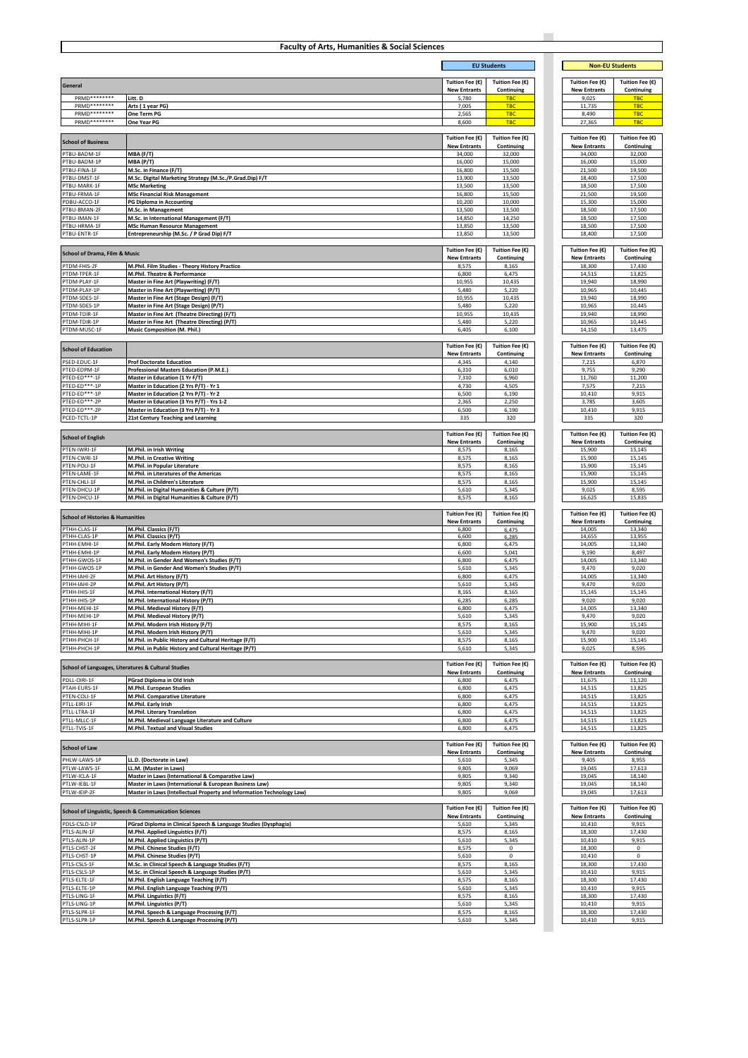| <b>EU Students</b><br><b>Non-EU Students</b><br>Tuition Fee (€)<br>Tuition Fee (€)<br>Tuition Fee (€)<br>Tuition Fee (€)<br><b>New Entrants</b><br>Continuing<br><b>New Entrants</b><br>Continuing<br>PRMD********<br>Litt. D<br>5,780<br><b>TBC</b><br>9,025<br><b>TBC</b><br>PRMD********<br><b>TBC</b><br><b>TBC</b><br>Arts (1 year PG)<br>7,005<br>11,735<br>PRMD********<br>One Term PG<br>2,565<br><b>TBC</b><br>8,490<br><b>TBC</b><br>PRMD********<br><b>TBC</b><br>One Year PG<br>8,600<br><b>TBC</b><br>27,365<br>Tuition Fee (€)<br>Tuition Fee (€)<br>Tuition Fee (€)<br>Tuition Fee (€)<br><b>School of Business</b><br><b>New Entrants</b><br>Continuing<br><b>New Entrants</b><br>Continuing<br>PTBU-BADM-1F<br>MBA (F/T)<br>34,000<br>32,000<br>34,000<br>32,000<br>TBU-BADM-1P<br>16,000<br>MBA (P/T)<br>16,000<br>15,000<br>15,000<br>TBU-FINA-1F<br>21,500<br>M.Sc. in Finance (F/T)<br>16,800<br>15,500<br>19,500<br>PTBU-DMST-1F<br>M.Sc. Digital Marketing Strategy (M.Sc./P.Grad.Dip) F/T<br>17,500<br>13,900<br>13,500<br>18,400<br>PTBU-MARK-1F<br><b>MSc Marketing</b><br>13,500<br>13,500<br>18,500<br>17,500<br><b>MSc Financial Risk Management</b><br>16,800<br>15,500<br>21,500<br>19,500<br>10,200<br>15,300<br>PG Diploma in Accounting<br>10,000<br>15,000<br>PTBU-BMAN-2F<br>13,500<br>M.Sc. in Management<br>13,500<br>18,500<br>17,500<br>PTBU-IMAN-1F<br>M.Sc. in International Management (F/T)<br>14,850<br>14,250<br>18,500<br>17,500<br>PTBU-HRMA-1F<br><b>MSc Human Resource Management</b><br>13,850<br>13,500<br>18,500<br>17,500<br>Entrepreneurship (M.Sc. / P Grad Dip) F/T<br>13,850<br>13,500<br>18,400<br>17,500<br>Tuition Fee (€)<br>Tuition Fee (€)<br>Tuition Fee (€)<br>Tuition Fee (€)<br><b>School of Drama, Film &amp; Music</b><br><b>New Entrants</b><br>Continuing<br><b>New Entrants</b><br>Continuing<br>18,300<br>M.Phil. Film Studies - Theory History Practice<br>8,575<br>8,165<br>17,430<br>PTDM-TPER-1F<br>6,800<br>6,475<br>13,825<br>M.Phil. Theatre & Performance<br>14,515<br>PTDM-PLAY-1F<br>Master in Fine Art (Playwriting) (F/T)<br>10,955<br>10,435<br>19,940<br>18,990<br>TDM-PLAY-1P<br>Master in Fine Art (Playwriting) (P/T)<br>5,480<br>5,220<br>10,965<br>10,445<br>19,940<br>TDM-SDES-1F<br>Master in Fine Art (Stage Design) (F/T)<br>10,955<br>10,435<br>18,990<br>10,965<br>TDM-SDES-1P<br>Master in Fine Art (Stage Design) (P/T)<br>5,480<br>5,220<br>10,445<br>Master in Fine Art (Theatre Directing) (F/T)<br>10,955<br>10,435<br>19,940<br>18,990<br>PTDM-TDIR-1P<br>Master in Fine Art (Theatre Directing) (P/T)<br>5,480<br>5,220<br>10,965<br>10,445<br>14,150<br>Music Composition (M. Phil.)<br>6,405<br>6,100<br>13,475<br>Tuition Fee (€)<br>Tuition Fee (€)<br>Tuition Fee (€)<br>Tuition Fee (€)<br><b>New Entrants</b><br>Continuing<br><b>New Entrants</b><br>Continuing<br>PSED-EDUC-1F<br>4,345<br>4,140<br>7,215<br>6,870<br><b>Prof Doctorate Education</b><br>PTED-EDPM-1F<br>Professional Masters Education (P.M.E.)<br>6,310<br>6,010<br>9,755<br>9,290<br>Master in Education (1 Yr F/T)<br>7,310<br>6,960<br>11,760<br>11,200<br>PTED-ED***-1P<br>Master in Education (2 Yrs P/T) - Yr 1<br>4,730<br>4,505<br>7,575<br>7,215<br>PTED-ED***-1P<br>Master in Education (2 Yrs P/T) - Yr 2<br>6,500<br>6,190<br>10,410<br>9,915<br>2,250<br>Master in Education (3 Yrs P/T) - Yrs 1-2<br>2,365<br>3,785<br>3,605<br>6,190<br>10,410<br>9,915<br>Master in Education (3 Yrs P/T) - Yr 3<br>6,500<br>PCED-TCTL-1P<br>21st Century Teaching and Learning<br>335<br>320<br>335<br>320<br>Tuition Fee $(\mathbb{C})$<br>Tuition Fee (€)<br>Tuition Fee (€)<br>Tuition Fee (€)<br><b>School of English</b><br><b>New Entrants</b><br>Continuing<br><b>New Entrants</b><br>Continuing<br>PTEN-IWRI-1F<br>M.Phil. in Irish Writing<br>8,165<br>15,900<br>15,145<br>8,575<br>PTEN-CWRI-1F<br>M.Phil. in Creative Writing<br>8,575<br>8,165<br>15,900<br>15,145<br>PTEN-POLI-1F<br>M.Phil. in Popular Literature<br>8,575<br>8,165<br>15,900<br>15,145<br>PTEN-LAME-1F<br>M.Phil. in Literatures of the Americas<br>8,575<br>8,165<br>15,900<br>15,145<br>M.Phil. in Children's Literature<br>8,575<br>8,165<br>15,900<br>15,145<br>PTEN-DHCU-1P<br>M.Phil. in Digital Humanities & Culture (P/T)<br>5,610<br>5,345<br>9,025<br>8,595<br>PTEN-DHCU-1F<br>M.Phil. in Digital Humanities & Culture (F/T)<br>8,575<br>8,165<br>16,625<br>15,835<br>Tuition Fee (€)<br>Tuition Fee (€)<br>Tuition Fee (€)<br>Tuition Fee (€)<br><b>School of Histories &amp; Humanities</b><br><b>New Entrants</b><br>Continuing<br><b>New Entrants</b><br>Continuing<br>PTHH-CLAS-1F<br>M.Phil. Classics (F/T)<br>14,005<br>13,340<br>6,800<br>6,475<br>13,955<br>M.Phil. Classics (P/T)<br>6,600<br>6,285<br>14,655<br>PTHH-EMHI-1F<br>M.Phil. Early Modern History (F/T)<br>6,800<br>6,475<br>14,005<br>13,340<br>PTHH-EMHI-1P<br>6,600<br>5,041<br>9,190<br>8,497<br>M.Phil. Early Modern History (P/T)<br>PTHH-GWOS-1F<br>M.Phil. in Gender And Women's Studies (F/T)<br>6,475<br>14,005<br>13,340<br>6,800<br>THH-GWOS-1P<br>M.Phil. in Gender And Women's Studies (P/T)<br>5,610<br>5,345<br>9,470<br>9,020<br>PTHH-IAHI-2F<br>M.Phil. Art History (F/T)<br>6,800<br>6,475<br>14,005<br>13,340<br>PTHH-IAHI-2P<br>M.Phil. Art History (P/T)<br>5,610<br>5,345<br>9,470<br>9,020<br>8,165<br>8,165<br>15,145<br>15,145<br>M.Phil. International History (F/T)<br>M.Phil. International History (P/T)<br>6,285<br>6,285<br>9,020<br>9,020<br>PTHH-MEHI-1F<br>M.Phil. Medieval History (F/T)<br>6,475<br>14,005<br>b,8UU<br>13,34U<br>PTHH-MEHI-1P<br>M.Phil. Medieval History (P/T)<br>5,610<br>5,345<br>9,470<br>9,020<br>PTHH-MIHI-1F<br>M.Phil. Modern Irish History (F/T)<br>15,900<br>15,145<br>8,575<br>8,165<br>M.Phil. Modern Irish History (P/T)<br>5,610<br>5,345<br>9,470<br>9,020<br>M.Phil. in Public History and Cultural Heritage (F/T)<br>8,575<br>8,165<br>15,900<br>15,145<br>PTHH-PHCH-1P<br>M.Phil. in Public History and Cultural Heritage (P/T)<br>5,610<br>5,345<br>9,025<br>8,595<br>Tuition Fee (€)<br>Tuition Fee (€)<br>Tuition Fee (€)<br>Tuition Fee (€)<br>School of Languages, Literatures & Cultural Studies<br><b>New Entrants</b><br><b>New Entrants</b><br>Continuing<br>Continuing<br>PDLL-OIRI-1F<br>PGrad Diploma in Old Irish<br>6,800<br>6,475<br>11,675<br>11,120<br>PTAH-EURS-1F<br>6,475<br>13,825<br>M.Phil. European Studies<br>6,800<br>14,515<br>6,475<br>M.Phil. Comparative Literature<br>6,800<br>13,825<br>14,515<br>PTLL-EIRI-1F<br>M.Phil. Early Irish<br>6,475<br>14,515<br>13,825<br>6,800<br>PTLL-LTRA-1F<br>M.Phil. Literary Translation<br>6,800<br>6,475<br>14,515<br>13,825<br>PTLL-MLLC-1F<br>14,515<br>13,825<br>6,800<br>6,475<br>M.Phil. Medieval Language Literature and Culture<br>6,475<br>14,515<br>13,825<br>6,800<br>M.Phil. Textual and Visual Studies<br>Tuition Fee (€)<br>Tuition Fee (€)<br>Tuition Fee (€)<br>Tuition Fee (€)<br>Continuing<br><b>New Entrants</b><br>Continuing<br><b>New Entrants</b><br>PHLW-LAWS-1P<br>LL.D. (Doctorate in Law)<br>5,610<br>5,345<br>9,405<br>8,955<br>LL.M. (Master in Laws)<br>9,805<br>9,069<br>19,045<br>17,613<br>Master in Laws (International & Comparative Law)<br>9,805<br>9,340<br>19,045<br>18,140<br>PTLW-IEBL-1F<br>19,045<br>Master in Laws (International & European Business Law)<br>9,805<br>9,340<br>18,140<br>PTLW-IEIP-2F<br>9,805<br>19,045<br>17,613<br>Master in Laws (Intellectual Property and Information Technology Law)<br>9,069<br>Tuition Fee (€)<br>Tuition Fee (€)<br>Tuition Fee (€)<br>Tuition Fee (€)<br>School of Linguistic, Speech & Communication Sciences<br><b>New Entrants</b><br>Continuing<br><b>New Entrants</b><br>Continuing<br>PDLS-CSLD-1P<br>PGrad Diploma in Clinical Speech & Language Studies (Dysphagia)<br>5,345<br>10,410<br>9,915<br>5,610<br>8,575<br>8,165<br>18,300<br>17,430<br>M.Phil. Applied Linguistics (F/T)<br>M.Phil. Applied Linguistics (P/T)<br>5,610<br>5,345<br>10,410<br>9,915<br>PTLS-CHST-2F<br>M.Phil. Chinese Studies (F/T)<br>8,575<br>$\mathbf 0$<br>18,300<br>$\pmb{0}$<br>PTLS-CHST-1P<br>10,410<br>M.Phil. Chinese Studies (P/T)<br>5,610<br>0<br>$\mathbf 0$<br>M.Sc. in Clinical Speech & Language Studies (F/T)<br>8,165<br>18,300<br>8,575<br>17,430<br>M.Sc. in Clinical Speech & Language Studies (P/T)<br>5,610<br>5,345<br>10,410<br>9,915<br>PTLS-ELTE-1F<br>M.Phil. English Language Teaching (F/T)<br>8,575<br>8,165<br>18,300<br>17,430<br>PTLS-ELTE-1P<br>M.Phil. English Language Teaching (P/T)<br>10,410<br>5,610<br>5,345<br>9,915<br>M.Phil. Linguistics (F/T)<br>8,575<br>8,165<br>18,300<br>17,430<br>M.Phil. Linguistics (P/T)<br>5,610<br>5,345<br>10,410<br>9,915<br>PTLS-SLPR-1F<br>M.Phil. Speech & Language Processing (F/T)<br>8,575<br>8,165<br>18,300<br>17,430 |                            | <b>Faculty of Arts, Humanities &amp; Social Sciences</b> |       |       |        |       |
|----------------------------------------------------------------------------------------------------------------------------------------------------------------------------------------------------------------------------------------------------------------------------------------------------------------------------------------------------------------------------------------------------------------------------------------------------------------------------------------------------------------------------------------------------------------------------------------------------------------------------------------------------------------------------------------------------------------------------------------------------------------------------------------------------------------------------------------------------------------------------------------------------------------------------------------------------------------------------------------------------------------------------------------------------------------------------------------------------------------------------------------------------------------------------------------------------------------------------------------------------------------------------------------------------------------------------------------------------------------------------------------------------------------------------------------------------------------------------------------------------------------------------------------------------------------------------------------------------------------------------------------------------------------------------------------------------------------------------------------------------------------------------------------------------------------------------------------------------------------------------------------------------------------------------------------------------------------------------------------------------------------------------------------------------------------------------------------------------------------------------------------------------------------------------------------------------------------------------------------------------------------------------------------------------------------------------------------------------------------------------------------------------------------------------------------------------------------------------------------------------------------------------------------------------------------------------------------------------------------------------------------------------------------------------------------------------------------------------------------------------------------------------------------------------------------------------------------------------------------------------------------------------------------------------------------------------------------------------------------------------------------------------------------------------------------------------------------------------------------------------------------------------------------------------------------------------------------------------------------------------------------------------------------------------------------------------------------------------------------------------------------------------------------------------------------------------------------------------------------------------------------------------------------------------------------------------------------------------------------------------------------------------------------------------------------------------------------------------------------------------------------------------------------------------------------------------------------------------------------------------------------------------------------------------------------------------------------------------------------------------------------------------------------------------------------------------------------------------------------------------------------------------------------------------------------------------------------------------------------------------------------------------------------------------------------------------------------------------------------------------------------------------------------------------------------------------------------------------------------------------------------------------------------------------------------------------------------------------------------------------------------------------------------------------------------------------------------------------------------------------------------------------------------------------------------------------------------------------------------------------------------------------------------------------------------------------------------------------------------------------------------------------------------------------------------------------------------------------------------------------------------------------------------------------------------------------------------------------------------------------------------------------------------------------------------------------------------------------------------------------------------------------------------------------------------------------------------------------------------------------------------------------------------------------------------------------------------------------------------------------------------------------------------------------------------------------------------------------------------------------------------------------------------------------------------------------------------------------------------------------------------------------------------------------------------------------------------------------------------------------------------------------------------------------------------------------------------------------------------------------------------------------------------------------------------------------------------------------------------------------------------------------------------------------------------------------------------------------------------------------------------------------------------------------------------------------------------------------------------------------------------------------------------------------------------------------------------------------------------------------------------------------------------------------------------------------------------------------------------------------------------------------------------------------------------------------------------------------------------------------------------------------------------------------------------------------------------------------------------------------------------------------------------------------------------------------------------------------------------------------------------------------------------------------------------------------------------------------------------------------------------------------------------------------------------------------------------------------------------------------------------------------------------------------------------------------------------------------------------------------------------------------------------------------------------------------------------------------------------------------------------------------------------------------------------------------------------------------------------------------------------------------------------------------------------------------------------------------------------------------------------------------------------------------------------------------------------------------------------------------------------------------------------------------------------------------------------------------------------------------------------------------------------------------------------------------------------------------------------------------------------------------------------------------------------------------------------------------------------------------------------------------------------------------------------------------------------------------------------------------------------------------------------------------------------------------------------------------------------------------------------------------------------------------------------------------------------------------------------------------------------------------------------------------------------------------------------------------------------------------------------|----------------------------|----------------------------------------------------------|-------|-------|--------|-------|
|                                                                                                                                                                                                                                                                                                                                                                                                                                                                                                                                                                                                                                                                                                                                                                                                                                                                                                                                                                                                                                                                                                                                                                                                                                                                                                                                                                                                                                                                                                                                                                                                                                                                                                                                                                                                                                                                                                                                                                                                                                                                                                                                                                                                                                                                                                                                                                                                                                                                                                                                                                                                                                                                                                                                                                                                                                                                                                                                                                                                                                                                                                                                                                                                                                                                                                                                                                                                                                                                                                                                                                                                                                                                                                                                                                                                                                                                                                                                                                                                                                                                                                                                                                                                                                                                                                                                                                                                                                                                                                                                                                                                                                                                                                                                                                                                                                                                                                                                                                                                                                                                                                                                                                                                                                                                                                                                                                                                                                                                                                                                                                                                                                                                                                                                                                                                                                                                                                                                                                                                                                                                                                                                                                                                                                                                                                                                                                                                                                                                                                                                                                                                                                                                                                                                                                                                                                                                                                                                                                                                                                                                                                                                                                                                                                                                                                                                                                                                                                                                                                                                                                                                                                                                                                                                                                                                                                                                                                                                                                                                                                                                                                                                                                                                                                                                                                                                                                                                                                                                                                                                                                                                                                                                                                                                                                                                                                                                                        |                            |                                                          |       |       |        |       |
|                                                                                                                                                                                                                                                                                                                                                                                                                                                                                                                                                                                                                                                                                                                                                                                                                                                                                                                                                                                                                                                                                                                                                                                                                                                                                                                                                                                                                                                                                                                                                                                                                                                                                                                                                                                                                                                                                                                                                                                                                                                                                                                                                                                                                                                                                                                                                                                                                                                                                                                                                                                                                                                                                                                                                                                                                                                                                                                                                                                                                                                                                                                                                                                                                                                                                                                                                                                                                                                                                                                                                                                                                                                                                                                                                                                                                                                                                                                                                                                                                                                                                                                                                                                                                                                                                                                                                                                                                                                                                                                                                                                                                                                                                                                                                                                                                                                                                                                                                                                                                                                                                                                                                                                                                                                                                                                                                                                                                                                                                                                                                                                                                                                                                                                                                                                                                                                                                                                                                                                                                                                                                                                                                                                                                                                                                                                                                                                                                                                                                                                                                                                                                                                                                                                                                                                                                                                                                                                                                                                                                                                                                                                                                                                                                                                                                                                                                                                                                                                                                                                                                                                                                                                                                                                                                                                                                                                                                                                                                                                                                                                                                                                                                                                                                                                                                                                                                                                                                                                                                                                                                                                                                                                                                                                                                                                                                                                                                        |                            |                                                          |       |       |        |       |
|                                                                                                                                                                                                                                                                                                                                                                                                                                                                                                                                                                                                                                                                                                                                                                                                                                                                                                                                                                                                                                                                                                                                                                                                                                                                                                                                                                                                                                                                                                                                                                                                                                                                                                                                                                                                                                                                                                                                                                                                                                                                                                                                                                                                                                                                                                                                                                                                                                                                                                                                                                                                                                                                                                                                                                                                                                                                                                                                                                                                                                                                                                                                                                                                                                                                                                                                                                                                                                                                                                                                                                                                                                                                                                                                                                                                                                                                                                                                                                                                                                                                                                                                                                                                                                                                                                                                                                                                                                                                                                                                                                                                                                                                                                                                                                                                                                                                                                                                                                                                                                                                                                                                                                                                                                                                                                                                                                                                                                                                                                                                                                                                                                                                                                                                                                                                                                                                                                                                                                                                                                                                                                                                                                                                                                                                                                                                                                                                                                                                                                                                                                                                                                                                                                                                                                                                                                                                                                                                                                                                                                                                                                                                                                                                                                                                                                                                                                                                                                                                                                                                                                                                                                                                                                                                                                                                                                                                                                                                                                                                                                                                                                                                                                                                                                                                                                                                                                                                                                                                                                                                                                                                                                                                                                                                                                                                                                                                                        | General                    |                                                          |       |       |        |       |
|                                                                                                                                                                                                                                                                                                                                                                                                                                                                                                                                                                                                                                                                                                                                                                                                                                                                                                                                                                                                                                                                                                                                                                                                                                                                                                                                                                                                                                                                                                                                                                                                                                                                                                                                                                                                                                                                                                                                                                                                                                                                                                                                                                                                                                                                                                                                                                                                                                                                                                                                                                                                                                                                                                                                                                                                                                                                                                                                                                                                                                                                                                                                                                                                                                                                                                                                                                                                                                                                                                                                                                                                                                                                                                                                                                                                                                                                                                                                                                                                                                                                                                                                                                                                                                                                                                                                                                                                                                                                                                                                                                                                                                                                                                                                                                                                                                                                                                                                                                                                                                                                                                                                                                                                                                                                                                                                                                                                                                                                                                                                                                                                                                                                                                                                                                                                                                                                                                                                                                                                                                                                                                                                                                                                                                                                                                                                                                                                                                                                                                                                                                                                                                                                                                                                                                                                                                                                                                                                                                                                                                                                                                                                                                                                                                                                                                                                                                                                                                                                                                                                                                                                                                                                                                                                                                                                                                                                                                                                                                                                                                                                                                                                                                                                                                                                                                                                                                                                                                                                                                                                                                                                                                                                                                                                                                                                                                                                                        |                            |                                                          |       |       |        |       |
|                                                                                                                                                                                                                                                                                                                                                                                                                                                                                                                                                                                                                                                                                                                                                                                                                                                                                                                                                                                                                                                                                                                                                                                                                                                                                                                                                                                                                                                                                                                                                                                                                                                                                                                                                                                                                                                                                                                                                                                                                                                                                                                                                                                                                                                                                                                                                                                                                                                                                                                                                                                                                                                                                                                                                                                                                                                                                                                                                                                                                                                                                                                                                                                                                                                                                                                                                                                                                                                                                                                                                                                                                                                                                                                                                                                                                                                                                                                                                                                                                                                                                                                                                                                                                                                                                                                                                                                                                                                                                                                                                                                                                                                                                                                                                                                                                                                                                                                                                                                                                                                                                                                                                                                                                                                                                                                                                                                                                                                                                                                                                                                                                                                                                                                                                                                                                                                                                                                                                                                                                                                                                                                                                                                                                                                                                                                                                                                                                                                                                                                                                                                                                                                                                                                                                                                                                                                                                                                                                                                                                                                                                                                                                                                                                                                                                                                                                                                                                                                                                                                                                                                                                                                                                                                                                                                                                                                                                                                                                                                                                                                                                                                                                                                                                                                                                                                                                                                                                                                                                                                                                                                                                                                                                                                                                                                                                                                                                        |                            |                                                          |       |       |        |       |
|                                                                                                                                                                                                                                                                                                                                                                                                                                                                                                                                                                                                                                                                                                                                                                                                                                                                                                                                                                                                                                                                                                                                                                                                                                                                                                                                                                                                                                                                                                                                                                                                                                                                                                                                                                                                                                                                                                                                                                                                                                                                                                                                                                                                                                                                                                                                                                                                                                                                                                                                                                                                                                                                                                                                                                                                                                                                                                                                                                                                                                                                                                                                                                                                                                                                                                                                                                                                                                                                                                                                                                                                                                                                                                                                                                                                                                                                                                                                                                                                                                                                                                                                                                                                                                                                                                                                                                                                                                                                                                                                                                                                                                                                                                                                                                                                                                                                                                                                                                                                                                                                                                                                                                                                                                                                                                                                                                                                                                                                                                                                                                                                                                                                                                                                                                                                                                                                                                                                                                                                                                                                                                                                                                                                                                                                                                                                                                                                                                                                                                                                                                                                                                                                                                                                                                                                                                                                                                                                                                                                                                                                                                                                                                                                                                                                                                                                                                                                                                                                                                                                                                                                                                                                                                                                                                                                                                                                                                                                                                                                                                                                                                                                                                                                                                                                                                                                                                                                                                                                                                                                                                                                                                                                                                                                                                                                                                                                                        |                            |                                                          |       |       |        |       |
|                                                                                                                                                                                                                                                                                                                                                                                                                                                                                                                                                                                                                                                                                                                                                                                                                                                                                                                                                                                                                                                                                                                                                                                                                                                                                                                                                                                                                                                                                                                                                                                                                                                                                                                                                                                                                                                                                                                                                                                                                                                                                                                                                                                                                                                                                                                                                                                                                                                                                                                                                                                                                                                                                                                                                                                                                                                                                                                                                                                                                                                                                                                                                                                                                                                                                                                                                                                                                                                                                                                                                                                                                                                                                                                                                                                                                                                                                                                                                                                                                                                                                                                                                                                                                                                                                                                                                                                                                                                                                                                                                                                                                                                                                                                                                                                                                                                                                                                                                                                                                                                                                                                                                                                                                                                                                                                                                                                                                                                                                                                                                                                                                                                                                                                                                                                                                                                                                                                                                                                                                                                                                                                                                                                                                                                                                                                                                                                                                                                                                                                                                                                                                                                                                                                                                                                                                                                                                                                                                                                                                                                                                                                                                                                                                                                                                                                                                                                                                                                                                                                                                                                                                                                                                                                                                                                                                                                                                                                                                                                                                                                                                                                                                                                                                                                                                                                                                                                                                                                                                                                                                                                                                                                                                                                                                                                                                                                                                        |                            |                                                          |       |       |        |       |
|                                                                                                                                                                                                                                                                                                                                                                                                                                                                                                                                                                                                                                                                                                                                                                                                                                                                                                                                                                                                                                                                                                                                                                                                                                                                                                                                                                                                                                                                                                                                                                                                                                                                                                                                                                                                                                                                                                                                                                                                                                                                                                                                                                                                                                                                                                                                                                                                                                                                                                                                                                                                                                                                                                                                                                                                                                                                                                                                                                                                                                                                                                                                                                                                                                                                                                                                                                                                                                                                                                                                                                                                                                                                                                                                                                                                                                                                                                                                                                                                                                                                                                                                                                                                                                                                                                                                                                                                                                                                                                                                                                                                                                                                                                                                                                                                                                                                                                                                                                                                                                                                                                                                                                                                                                                                                                                                                                                                                                                                                                                                                                                                                                                                                                                                                                                                                                                                                                                                                                                                                                                                                                                                                                                                                                                                                                                                                                                                                                                                                                                                                                                                                                                                                                                                                                                                                                                                                                                                                                                                                                                                                                                                                                                                                                                                                                                                                                                                                                                                                                                                                                                                                                                                                                                                                                                                                                                                                                                                                                                                                                                                                                                                                                                                                                                                                                                                                                                                                                                                                                                                                                                                                                                                                                                                                                                                                                                                                        |                            |                                                          |       |       |        |       |
|                                                                                                                                                                                                                                                                                                                                                                                                                                                                                                                                                                                                                                                                                                                                                                                                                                                                                                                                                                                                                                                                                                                                                                                                                                                                                                                                                                                                                                                                                                                                                                                                                                                                                                                                                                                                                                                                                                                                                                                                                                                                                                                                                                                                                                                                                                                                                                                                                                                                                                                                                                                                                                                                                                                                                                                                                                                                                                                                                                                                                                                                                                                                                                                                                                                                                                                                                                                                                                                                                                                                                                                                                                                                                                                                                                                                                                                                                                                                                                                                                                                                                                                                                                                                                                                                                                                                                                                                                                                                                                                                                                                                                                                                                                                                                                                                                                                                                                                                                                                                                                                                                                                                                                                                                                                                                                                                                                                                                                                                                                                                                                                                                                                                                                                                                                                                                                                                                                                                                                                                                                                                                                                                                                                                                                                                                                                                                                                                                                                                                                                                                                                                                                                                                                                                                                                                                                                                                                                                                                                                                                                                                                                                                                                                                                                                                                                                                                                                                                                                                                                                                                                                                                                                                                                                                                                                                                                                                                                                                                                                                                                                                                                                                                                                                                                                                                                                                                                                                                                                                                                                                                                                                                                                                                                                                                                                                                                                                        |                            |                                                          |       |       |        |       |
|                                                                                                                                                                                                                                                                                                                                                                                                                                                                                                                                                                                                                                                                                                                                                                                                                                                                                                                                                                                                                                                                                                                                                                                                                                                                                                                                                                                                                                                                                                                                                                                                                                                                                                                                                                                                                                                                                                                                                                                                                                                                                                                                                                                                                                                                                                                                                                                                                                                                                                                                                                                                                                                                                                                                                                                                                                                                                                                                                                                                                                                                                                                                                                                                                                                                                                                                                                                                                                                                                                                                                                                                                                                                                                                                                                                                                                                                                                                                                                                                                                                                                                                                                                                                                                                                                                                                                                                                                                                                                                                                                                                                                                                                                                                                                                                                                                                                                                                                                                                                                                                                                                                                                                                                                                                                                                                                                                                                                                                                                                                                                                                                                                                                                                                                                                                                                                                                                                                                                                                                                                                                                                                                                                                                                                                                                                                                                                                                                                                                                                                                                                                                                                                                                                                                                                                                                                                                                                                                                                                                                                                                                                                                                                                                                                                                                                                                                                                                                                                                                                                                                                                                                                                                                                                                                                                                                                                                                                                                                                                                                                                                                                                                                                                                                                                                                                                                                                                                                                                                                                                                                                                                                                                                                                                                                                                                                                                                                        |                            |                                                          |       |       |        |       |
|                                                                                                                                                                                                                                                                                                                                                                                                                                                                                                                                                                                                                                                                                                                                                                                                                                                                                                                                                                                                                                                                                                                                                                                                                                                                                                                                                                                                                                                                                                                                                                                                                                                                                                                                                                                                                                                                                                                                                                                                                                                                                                                                                                                                                                                                                                                                                                                                                                                                                                                                                                                                                                                                                                                                                                                                                                                                                                                                                                                                                                                                                                                                                                                                                                                                                                                                                                                                                                                                                                                                                                                                                                                                                                                                                                                                                                                                                                                                                                                                                                                                                                                                                                                                                                                                                                                                                                                                                                                                                                                                                                                                                                                                                                                                                                                                                                                                                                                                                                                                                                                                                                                                                                                                                                                                                                                                                                                                                                                                                                                                                                                                                                                                                                                                                                                                                                                                                                                                                                                                                                                                                                                                                                                                                                                                                                                                                                                                                                                                                                                                                                                                                                                                                                                                                                                                                                                                                                                                                                                                                                                                                                                                                                                                                                                                                                                                                                                                                                                                                                                                                                                                                                                                                                                                                                                                                                                                                                                                                                                                                                                                                                                                                                                                                                                                                                                                                                                                                                                                                                                                                                                                                                                                                                                                                                                                                                                                                        |                            |                                                          |       |       |        |       |
|                                                                                                                                                                                                                                                                                                                                                                                                                                                                                                                                                                                                                                                                                                                                                                                                                                                                                                                                                                                                                                                                                                                                                                                                                                                                                                                                                                                                                                                                                                                                                                                                                                                                                                                                                                                                                                                                                                                                                                                                                                                                                                                                                                                                                                                                                                                                                                                                                                                                                                                                                                                                                                                                                                                                                                                                                                                                                                                                                                                                                                                                                                                                                                                                                                                                                                                                                                                                                                                                                                                                                                                                                                                                                                                                                                                                                                                                                                                                                                                                                                                                                                                                                                                                                                                                                                                                                                                                                                                                                                                                                                                                                                                                                                                                                                                                                                                                                                                                                                                                                                                                                                                                                                                                                                                                                                                                                                                                                                                                                                                                                                                                                                                                                                                                                                                                                                                                                                                                                                                                                                                                                                                                                                                                                                                                                                                                                                                                                                                                                                                                                                                                                                                                                                                                                                                                                                                                                                                                                                                                                                                                                                                                                                                                                                                                                                                                                                                                                                                                                                                                                                                                                                                                                                                                                                                                                                                                                                                                                                                                                                                                                                                                                                                                                                                                                                                                                                                                                                                                                                                                                                                                                                                                                                                                                                                                                                                                                        |                            |                                                          |       |       |        |       |
|                                                                                                                                                                                                                                                                                                                                                                                                                                                                                                                                                                                                                                                                                                                                                                                                                                                                                                                                                                                                                                                                                                                                                                                                                                                                                                                                                                                                                                                                                                                                                                                                                                                                                                                                                                                                                                                                                                                                                                                                                                                                                                                                                                                                                                                                                                                                                                                                                                                                                                                                                                                                                                                                                                                                                                                                                                                                                                                                                                                                                                                                                                                                                                                                                                                                                                                                                                                                                                                                                                                                                                                                                                                                                                                                                                                                                                                                                                                                                                                                                                                                                                                                                                                                                                                                                                                                                                                                                                                                                                                                                                                                                                                                                                                                                                                                                                                                                                                                                                                                                                                                                                                                                                                                                                                                                                                                                                                                                                                                                                                                                                                                                                                                                                                                                                                                                                                                                                                                                                                                                                                                                                                                                                                                                                                                                                                                                                                                                                                                                                                                                                                                                                                                                                                                                                                                                                                                                                                                                                                                                                                                                                                                                                                                                                                                                                                                                                                                                                                                                                                                                                                                                                                                                                                                                                                                                                                                                                                                                                                                                                                                                                                                                                                                                                                                                                                                                                                                                                                                                                                                                                                                                                                                                                                                                                                                                                                                                        | PTBU-FRMA-1F               |                                                          |       |       |        |       |
|                                                                                                                                                                                                                                                                                                                                                                                                                                                                                                                                                                                                                                                                                                                                                                                                                                                                                                                                                                                                                                                                                                                                                                                                                                                                                                                                                                                                                                                                                                                                                                                                                                                                                                                                                                                                                                                                                                                                                                                                                                                                                                                                                                                                                                                                                                                                                                                                                                                                                                                                                                                                                                                                                                                                                                                                                                                                                                                                                                                                                                                                                                                                                                                                                                                                                                                                                                                                                                                                                                                                                                                                                                                                                                                                                                                                                                                                                                                                                                                                                                                                                                                                                                                                                                                                                                                                                                                                                                                                                                                                                                                                                                                                                                                                                                                                                                                                                                                                                                                                                                                                                                                                                                                                                                                                                                                                                                                                                                                                                                                                                                                                                                                                                                                                                                                                                                                                                                                                                                                                                                                                                                                                                                                                                                                                                                                                                                                                                                                                                                                                                                                                                                                                                                                                                                                                                                                                                                                                                                                                                                                                                                                                                                                                                                                                                                                                                                                                                                                                                                                                                                                                                                                                                                                                                                                                                                                                                                                                                                                                                                                                                                                                                                                                                                                                                                                                                                                                                                                                                                                                                                                                                                                                                                                                                                                                                                                                                        | PDBU-ACCO-1F               |                                                          |       |       |        |       |
|                                                                                                                                                                                                                                                                                                                                                                                                                                                                                                                                                                                                                                                                                                                                                                                                                                                                                                                                                                                                                                                                                                                                                                                                                                                                                                                                                                                                                                                                                                                                                                                                                                                                                                                                                                                                                                                                                                                                                                                                                                                                                                                                                                                                                                                                                                                                                                                                                                                                                                                                                                                                                                                                                                                                                                                                                                                                                                                                                                                                                                                                                                                                                                                                                                                                                                                                                                                                                                                                                                                                                                                                                                                                                                                                                                                                                                                                                                                                                                                                                                                                                                                                                                                                                                                                                                                                                                                                                                                                                                                                                                                                                                                                                                                                                                                                                                                                                                                                                                                                                                                                                                                                                                                                                                                                                                                                                                                                                                                                                                                                                                                                                                                                                                                                                                                                                                                                                                                                                                                                                                                                                                                                                                                                                                                                                                                                                                                                                                                                                                                                                                                                                                                                                                                                                                                                                                                                                                                                                                                                                                                                                                                                                                                                                                                                                                                                                                                                                                                                                                                                                                                                                                                                                                                                                                                                                                                                                                                                                                                                                                                                                                                                                                                                                                                                                                                                                                                                                                                                                                                                                                                                                                                                                                                                                                                                                                                                                        |                            |                                                          |       |       |        |       |
|                                                                                                                                                                                                                                                                                                                                                                                                                                                                                                                                                                                                                                                                                                                                                                                                                                                                                                                                                                                                                                                                                                                                                                                                                                                                                                                                                                                                                                                                                                                                                                                                                                                                                                                                                                                                                                                                                                                                                                                                                                                                                                                                                                                                                                                                                                                                                                                                                                                                                                                                                                                                                                                                                                                                                                                                                                                                                                                                                                                                                                                                                                                                                                                                                                                                                                                                                                                                                                                                                                                                                                                                                                                                                                                                                                                                                                                                                                                                                                                                                                                                                                                                                                                                                                                                                                                                                                                                                                                                                                                                                                                                                                                                                                                                                                                                                                                                                                                                                                                                                                                                                                                                                                                                                                                                                                                                                                                                                                                                                                                                                                                                                                                                                                                                                                                                                                                                                                                                                                                                                                                                                                                                                                                                                                                                                                                                                                                                                                                                                                                                                                                                                                                                                                                                                                                                                                                                                                                                                                                                                                                                                                                                                                                                                                                                                                                                                                                                                                                                                                                                                                                                                                                                                                                                                                                                                                                                                                                                                                                                                                                                                                                                                                                                                                                                                                                                                                                                                                                                                                                                                                                                                                                                                                                                                                                                                                                                                        |                            |                                                          |       |       |        |       |
|                                                                                                                                                                                                                                                                                                                                                                                                                                                                                                                                                                                                                                                                                                                                                                                                                                                                                                                                                                                                                                                                                                                                                                                                                                                                                                                                                                                                                                                                                                                                                                                                                                                                                                                                                                                                                                                                                                                                                                                                                                                                                                                                                                                                                                                                                                                                                                                                                                                                                                                                                                                                                                                                                                                                                                                                                                                                                                                                                                                                                                                                                                                                                                                                                                                                                                                                                                                                                                                                                                                                                                                                                                                                                                                                                                                                                                                                                                                                                                                                                                                                                                                                                                                                                                                                                                                                                                                                                                                                                                                                                                                                                                                                                                                                                                                                                                                                                                                                                                                                                                                                                                                                                                                                                                                                                                                                                                                                                                                                                                                                                                                                                                                                                                                                                                                                                                                                                                                                                                                                                                                                                                                                                                                                                                                                                                                                                                                                                                                                                                                                                                                                                                                                                                                                                                                                                                                                                                                                                                                                                                                                                                                                                                                                                                                                                                                                                                                                                                                                                                                                                                                                                                                                                                                                                                                                                                                                                                                                                                                                                                                                                                                                                                                                                                                                                                                                                                                                                                                                                                                                                                                                                                                                                                                                                                                                                                                                                        | PTBU-ENTR-1F               |                                                          |       |       |        |       |
|                                                                                                                                                                                                                                                                                                                                                                                                                                                                                                                                                                                                                                                                                                                                                                                                                                                                                                                                                                                                                                                                                                                                                                                                                                                                                                                                                                                                                                                                                                                                                                                                                                                                                                                                                                                                                                                                                                                                                                                                                                                                                                                                                                                                                                                                                                                                                                                                                                                                                                                                                                                                                                                                                                                                                                                                                                                                                                                                                                                                                                                                                                                                                                                                                                                                                                                                                                                                                                                                                                                                                                                                                                                                                                                                                                                                                                                                                                                                                                                                                                                                                                                                                                                                                                                                                                                                                                                                                                                                                                                                                                                                                                                                                                                                                                                                                                                                                                                                                                                                                                                                                                                                                                                                                                                                                                                                                                                                                                                                                                                                                                                                                                                                                                                                                                                                                                                                                                                                                                                                                                                                                                                                                                                                                                                                                                                                                                                                                                                                                                                                                                                                                                                                                                                                                                                                                                                                                                                                                                                                                                                                                                                                                                                                                                                                                                                                                                                                                                                                                                                                                                                                                                                                                                                                                                                                                                                                                                                                                                                                                                                                                                                                                                                                                                                                                                                                                                                                                                                                                                                                                                                                                                                                                                                                                                                                                                                                                        |                            |                                                          |       |       |        |       |
|                                                                                                                                                                                                                                                                                                                                                                                                                                                                                                                                                                                                                                                                                                                                                                                                                                                                                                                                                                                                                                                                                                                                                                                                                                                                                                                                                                                                                                                                                                                                                                                                                                                                                                                                                                                                                                                                                                                                                                                                                                                                                                                                                                                                                                                                                                                                                                                                                                                                                                                                                                                                                                                                                                                                                                                                                                                                                                                                                                                                                                                                                                                                                                                                                                                                                                                                                                                                                                                                                                                                                                                                                                                                                                                                                                                                                                                                                                                                                                                                                                                                                                                                                                                                                                                                                                                                                                                                                                                                                                                                                                                                                                                                                                                                                                                                                                                                                                                                                                                                                                                                                                                                                                                                                                                                                                                                                                                                                                                                                                                                                                                                                                                                                                                                                                                                                                                                                                                                                                                                                                                                                                                                                                                                                                                                                                                                                                                                                                                                                                                                                                                                                                                                                                                                                                                                                                                                                                                                                                                                                                                                                                                                                                                                                                                                                                                                                                                                                                                                                                                                                                                                                                                                                                                                                                                                                                                                                                                                                                                                                                                                                                                                                                                                                                                                                                                                                                                                                                                                                                                                                                                                                                                                                                                                                                                                                                                                                        |                            |                                                          |       |       |        |       |
|                                                                                                                                                                                                                                                                                                                                                                                                                                                                                                                                                                                                                                                                                                                                                                                                                                                                                                                                                                                                                                                                                                                                                                                                                                                                                                                                                                                                                                                                                                                                                                                                                                                                                                                                                                                                                                                                                                                                                                                                                                                                                                                                                                                                                                                                                                                                                                                                                                                                                                                                                                                                                                                                                                                                                                                                                                                                                                                                                                                                                                                                                                                                                                                                                                                                                                                                                                                                                                                                                                                                                                                                                                                                                                                                                                                                                                                                                                                                                                                                                                                                                                                                                                                                                                                                                                                                                                                                                                                                                                                                                                                                                                                                                                                                                                                                                                                                                                                                                                                                                                                                                                                                                                                                                                                                                                                                                                                                                                                                                                                                                                                                                                                                                                                                                                                                                                                                                                                                                                                                                                                                                                                                                                                                                                                                                                                                                                                                                                                                                                                                                                                                                                                                                                                                                                                                                                                                                                                                                                                                                                                                                                                                                                                                                                                                                                                                                                                                                                                                                                                                                                                                                                                                                                                                                                                                                                                                                                                                                                                                                                                                                                                                                                                                                                                                                                                                                                                                                                                                                                                                                                                                                                                                                                                                                                                                                                                                                        | PTDM-FHIS-2F               |                                                          |       |       |        |       |
|                                                                                                                                                                                                                                                                                                                                                                                                                                                                                                                                                                                                                                                                                                                                                                                                                                                                                                                                                                                                                                                                                                                                                                                                                                                                                                                                                                                                                                                                                                                                                                                                                                                                                                                                                                                                                                                                                                                                                                                                                                                                                                                                                                                                                                                                                                                                                                                                                                                                                                                                                                                                                                                                                                                                                                                                                                                                                                                                                                                                                                                                                                                                                                                                                                                                                                                                                                                                                                                                                                                                                                                                                                                                                                                                                                                                                                                                                                                                                                                                                                                                                                                                                                                                                                                                                                                                                                                                                                                                                                                                                                                                                                                                                                                                                                                                                                                                                                                                                                                                                                                                                                                                                                                                                                                                                                                                                                                                                                                                                                                                                                                                                                                                                                                                                                                                                                                                                                                                                                                                                                                                                                                                                                                                                                                                                                                                                                                                                                                                                                                                                                                                                                                                                                                                                                                                                                                                                                                                                                                                                                                                                                                                                                                                                                                                                                                                                                                                                                                                                                                                                                                                                                                                                                                                                                                                                                                                                                                                                                                                                                                                                                                                                                                                                                                                                                                                                                                                                                                                                                                                                                                                                                                                                                                                                                                                                                                                                        |                            |                                                          |       |       |        |       |
|                                                                                                                                                                                                                                                                                                                                                                                                                                                                                                                                                                                                                                                                                                                                                                                                                                                                                                                                                                                                                                                                                                                                                                                                                                                                                                                                                                                                                                                                                                                                                                                                                                                                                                                                                                                                                                                                                                                                                                                                                                                                                                                                                                                                                                                                                                                                                                                                                                                                                                                                                                                                                                                                                                                                                                                                                                                                                                                                                                                                                                                                                                                                                                                                                                                                                                                                                                                                                                                                                                                                                                                                                                                                                                                                                                                                                                                                                                                                                                                                                                                                                                                                                                                                                                                                                                                                                                                                                                                                                                                                                                                                                                                                                                                                                                                                                                                                                                                                                                                                                                                                                                                                                                                                                                                                                                                                                                                                                                                                                                                                                                                                                                                                                                                                                                                                                                                                                                                                                                                                                                                                                                                                                                                                                                                                                                                                                                                                                                                                                                                                                                                                                                                                                                                                                                                                                                                                                                                                                                                                                                                                                                                                                                                                                                                                                                                                                                                                                                                                                                                                                                                                                                                                                                                                                                                                                                                                                                                                                                                                                                                                                                                                                                                                                                                                                                                                                                                                                                                                                                                                                                                                                                                                                                                                                                                                                                                                                        |                            |                                                          |       |       |        |       |
|                                                                                                                                                                                                                                                                                                                                                                                                                                                                                                                                                                                                                                                                                                                                                                                                                                                                                                                                                                                                                                                                                                                                                                                                                                                                                                                                                                                                                                                                                                                                                                                                                                                                                                                                                                                                                                                                                                                                                                                                                                                                                                                                                                                                                                                                                                                                                                                                                                                                                                                                                                                                                                                                                                                                                                                                                                                                                                                                                                                                                                                                                                                                                                                                                                                                                                                                                                                                                                                                                                                                                                                                                                                                                                                                                                                                                                                                                                                                                                                                                                                                                                                                                                                                                                                                                                                                                                                                                                                                                                                                                                                                                                                                                                                                                                                                                                                                                                                                                                                                                                                                                                                                                                                                                                                                                                                                                                                                                                                                                                                                                                                                                                                                                                                                                                                                                                                                                                                                                                                                                                                                                                                                                                                                                                                                                                                                                                                                                                                                                                                                                                                                                                                                                                                                                                                                                                                                                                                                                                                                                                                                                                                                                                                                                                                                                                                                                                                                                                                                                                                                                                                                                                                                                                                                                                                                                                                                                                                                                                                                                                                                                                                                                                                                                                                                                                                                                                                                                                                                                                                                                                                                                                                                                                                                                                                                                                                                                        |                            |                                                          |       |       |        |       |
|                                                                                                                                                                                                                                                                                                                                                                                                                                                                                                                                                                                                                                                                                                                                                                                                                                                                                                                                                                                                                                                                                                                                                                                                                                                                                                                                                                                                                                                                                                                                                                                                                                                                                                                                                                                                                                                                                                                                                                                                                                                                                                                                                                                                                                                                                                                                                                                                                                                                                                                                                                                                                                                                                                                                                                                                                                                                                                                                                                                                                                                                                                                                                                                                                                                                                                                                                                                                                                                                                                                                                                                                                                                                                                                                                                                                                                                                                                                                                                                                                                                                                                                                                                                                                                                                                                                                                                                                                                                                                                                                                                                                                                                                                                                                                                                                                                                                                                                                                                                                                                                                                                                                                                                                                                                                                                                                                                                                                                                                                                                                                                                                                                                                                                                                                                                                                                                                                                                                                                                                                                                                                                                                                                                                                                                                                                                                                                                                                                                                                                                                                                                                                                                                                                                                                                                                                                                                                                                                                                                                                                                                                                                                                                                                                                                                                                                                                                                                                                                                                                                                                                                                                                                                                                                                                                                                                                                                                                                                                                                                                                                                                                                                                                                                                                                                                                                                                                                                                                                                                                                                                                                                                                                                                                                                                                                                                                                                                        |                            |                                                          |       |       |        |       |
|                                                                                                                                                                                                                                                                                                                                                                                                                                                                                                                                                                                                                                                                                                                                                                                                                                                                                                                                                                                                                                                                                                                                                                                                                                                                                                                                                                                                                                                                                                                                                                                                                                                                                                                                                                                                                                                                                                                                                                                                                                                                                                                                                                                                                                                                                                                                                                                                                                                                                                                                                                                                                                                                                                                                                                                                                                                                                                                                                                                                                                                                                                                                                                                                                                                                                                                                                                                                                                                                                                                                                                                                                                                                                                                                                                                                                                                                                                                                                                                                                                                                                                                                                                                                                                                                                                                                                                                                                                                                                                                                                                                                                                                                                                                                                                                                                                                                                                                                                                                                                                                                                                                                                                                                                                                                                                                                                                                                                                                                                                                                                                                                                                                                                                                                                                                                                                                                                                                                                                                                                                                                                                                                                                                                                                                                                                                                                                                                                                                                                                                                                                                                                                                                                                                                                                                                                                                                                                                                                                                                                                                                                                                                                                                                                                                                                                                                                                                                                                                                                                                                                                                                                                                                                                                                                                                                                                                                                                                                                                                                                                                                                                                                                                                                                                                                                                                                                                                                                                                                                                                                                                                                                                                                                                                                                                                                                                                                                        | PTDM-TDIR-1F               |                                                          |       |       |        |       |
|                                                                                                                                                                                                                                                                                                                                                                                                                                                                                                                                                                                                                                                                                                                                                                                                                                                                                                                                                                                                                                                                                                                                                                                                                                                                                                                                                                                                                                                                                                                                                                                                                                                                                                                                                                                                                                                                                                                                                                                                                                                                                                                                                                                                                                                                                                                                                                                                                                                                                                                                                                                                                                                                                                                                                                                                                                                                                                                                                                                                                                                                                                                                                                                                                                                                                                                                                                                                                                                                                                                                                                                                                                                                                                                                                                                                                                                                                                                                                                                                                                                                                                                                                                                                                                                                                                                                                                                                                                                                                                                                                                                                                                                                                                                                                                                                                                                                                                                                                                                                                                                                                                                                                                                                                                                                                                                                                                                                                                                                                                                                                                                                                                                                                                                                                                                                                                                                                                                                                                                                                                                                                                                                                                                                                                                                                                                                                                                                                                                                                                                                                                                                                                                                                                                                                                                                                                                                                                                                                                                                                                                                                                                                                                                                                                                                                                                                                                                                                                                                                                                                                                                                                                                                                                                                                                                                                                                                                                                                                                                                                                                                                                                                                                                                                                                                                                                                                                                                                                                                                                                                                                                                                                                                                                                                                                                                                                                                                        | PTDM-MUSC-1F               |                                                          |       |       |        |       |
|                                                                                                                                                                                                                                                                                                                                                                                                                                                                                                                                                                                                                                                                                                                                                                                                                                                                                                                                                                                                                                                                                                                                                                                                                                                                                                                                                                                                                                                                                                                                                                                                                                                                                                                                                                                                                                                                                                                                                                                                                                                                                                                                                                                                                                                                                                                                                                                                                                                                                                                                                                                                                                                                                                                                                                                                                                                                                                                                                                                                                                                                                                                                                                                                                                                                                                                                                                                                                                                                                                                                                                                                                                                                                                                                                                                                                                                                                                                                                                                                                                                                                                                                                                                                                                                                                                                                                                                                                                                                                                                                                                                                                                                                                                                                                                                                                                                                                                                                                                                                                                                                                                                                                                                                                                                                                                                                                                                                                                                                                                                                                                                                                                                                                                                                                                                                                                                                                                                                                                                                                                                                                                                                                                                                                                                                                                                                                                                                                                                                                                                                                                                                                                                                                                                                                                                                                                                                                                                                                                                                                                                                                                                                                                                                                                                                                                                                                                                                                                                                                                                                                                                                                                                                                                                                                                                                                                                                                                                                                                                                                                                                                                                                                                                                                                                                                                                                                                                                                                                                                                                                                                                                                                                                                                                                                                                                                                                                                        |                            |                                                          |       |       |        |       |
|                                                                                                                                                                                                                                                                                                                                                                                                                                                                                                                                                                                                                                                                                                                                                                                                                                                                                                                                                                                                                                                                                                                                                                                                                                                                                                                                                                                                                                                                                                                                                                                                                                                                                                                                                                                                                                                                                                                                                                                                                                                                                                                                                                                                                                                                                                                                                                                                                                                                                                                                                                                                                                                                                                                                                                                                                                                                                                                                                                                                                                                                                                                                                                                                                                                                                                                                                                                                                                                                                                                                                                                                                                                                                                                                                                                                                                                                                                                                                                                                                                                                                                                                                                                                                                                                                                                                                                                                                                                                                                                                                                                                                                                                                                                                                                                                                                                                                                                                                                                                                                                                                                                                                                                                                                                                                                                                                                                                                                                                                                                                                                                                                                                                                                                                                                                                                                                                                                                                                                                                                                                                                                                                                                                                                                                                                                                                                                                                                                                                                                                                                                                                                                                                                                                                                                                                                                                                                                                                                                                                                                                                                                                                                                                                                                                                                                                                                                                                                                                                                                                                                                                                                                                                                                                                                                                                                                                                                                                                                                                                                                                                                                                                                                                                                                                                                                                                                                                                                                                                                                                                                                                                                                                                                                                                                                                                                                                                                        | <b>School of Education</b> |                                                          |       |       |        |       |
|                                                                                                                                                                                                                                                                                                                                                                                                                                                                                                                                                                                                                                                                                                                                                                                                                                                                                                                                                                                                                                                                                                                                                                                                                                                                                                                                                                                                                                                                                                                                                                                                                                                                                                                                                                                                                                                                                                                                                                                                                                                                                                                                                                                                                                                                                                                                                                                                                                                                                                                                                                                                                                                                                                                                                                                                                                                                                                                                                                                                                                                                                                                                                                                                                                                                                                                                                                                                                                                                                                                                                                                                                                                                                                                                                                                                                                                                                                                                                                                                                                                                                                                                                                                                                                                                                                                                                                                                                                                                                                                                                                                                                                                                                                                                                                                                                                                                                                                                                                                                                                                                                                                                                                                                                                                                                                                                                                                                                                                                                                                                                                                                                                                                                                                                                                                                                                                                                                                                                                                                                                                                                                                                                                                                                                                                                                                                                                                                                                                                                                                                                                                                                                                                                                                                                                                                                                                                                                                                                                                                                                                                                                                                                                                                                                                                                                                                                                                                                                                                                                                                                                                                                                                                                                                                                                                                                                                                                                                                                                                                                                                                                                                                                                                                                                                                                                                                                                                                                                                                                                                                                                                                                                                                                                                                                                                                                                                                                        |                            |                                                          |       |       |        |       |
|                                                                                                                                                                                                                                                                                                                                                                                                                                                                                                                                                                                                                                                                                                                                                                                                                                                                                                                                                                                                                                                                                                                                                                                                                                                                                                                                                                                                                                                                                                                                                                                                                                                                                                                                                                                                                                                                                                                                                                                                                                                                                                                                                                                                                                                                                                                                                                                                                                                                                                                                                                                                                                                                                                                                                                                                                                                                                                                                                                                                                                                                                                                                                                                                                                                                                                                                                                                                                                                                                                                                                                                                                                                                                                                                                                                                                                                                                                                                                                                                                                                                                                                                                                                                                                                                                                                                                                                                                                                                                                                                                                                                                                                                                                                                                                                                                                                                                                                                                                                                                                                                                                                                                                                                                                                                                                                                                                                                                                                                                                                                                                                                                                                                                                                                                                                                                                                                                                                                                                                                                                                                                                                                                                                                                                                                                                                                                                                                                                                                                                                                                                                                                                                                                                                                                                                                                                                                                                                                                                                                                                                                                                                                                                                                                                                                                                                                                                                                                                                                                                                                                                                                                                                                                                                                                                                                                                                                                                                                                                                                                                                                                                                                                                                                                                                                                                                                                                                                                                                                                                                                                                                                                                                                                                                                                                                                                                                                                        |                            |                                                          |       |       |        |       |
|                                                                                                                                                                                                                                                                                                                                                                                                                                                                                                                                                                                                                                                                                                                                                                                                                                                                                                                                                                                                                                                                                                                                                                                                                                                                                                                                                                                                                                                                                                                                                                                                                                                                                                                                                                                                                                                                                                                                                                                                                                                                                                                                                                                                                                                                                                                                                                                                                                                                                                                                                                                                                                                                                                                                                                                                                                                                                                                                                                                                                                                                                                                                                                                                                                                                                                                                                                                                                                                                                                                                                                                                                                                                                                                                                                                                                                                                                                                                                                                                                                                                                                                                                                                                                                                                                                                                                                                                                                                                                                                                                                                                                                                                                                                                                                                                                                                                                                                                                                                                                                                                                                                                                                                                                                                                                                                                                                                                                                                                                                                                                                                                                                                                                                                                                                                                                                                                                                                                                                                                                                                                                                                                                                                                                                                                                                                                                                                                                                                                                                                                                                                                                                                                                                                                                                                                                                                                                                                                                                                                                                                                                                                                                                                                                                                                                                                                                                                                                                                                                                                                                                                                                                                                                                                                                                                                                                                                                                                                                                                                                                                                                                                                                                                                                                                                                                                                                                                                                                                                                                                                                                                                                                                                                                                                                                                                                                                                                        | PTED-ED***-1F              |                                                          |       |       |        |       |
|                                                                                                                                                                                                                                                                                                                                                                                                                                                                                                                                                                                                                                                                                                                                                                                                                                                                                                                                                                                                                                                                                                                                                                                                                                                                                                                                                                                                                                                                                                                                                                                                                                                                                                                                                                                                                                                                                                                                                                                                                                                                                                                                                                                                                                                                                                                                                                                                                                                                                                                                                                                                                                                                                                                                                                                                                                                                                                                                                                                                                                                                                                                                                                                                                                                                                                                                                                                                                                                                                                                                                                                                                                                                                                                                                                                                                                                                                                                                                                                                                                                                                                                                                                                                                                                                                                                                                                                                                                                                                                                                                                                                                                                                                                                                                                                                                                                                                                                                                                                                                                                                                                                                                                                                                                                                                                                                                                                                                                                                                                                                                                                                                                                                                                                                                                                                                                                                                                                                                                                                                                                                                                                                                                                                                                                                                                                                                                                                                                                                                                                                                                                                                                                                                                                                                                                                                                                                                                                                                                                                                                                                                                                                                                                                                                                                                                                                                                                                                                                                                                                                                                                                                                                                                                                                                                                                                                                                                                                                                                                                                                                                                                                                                                                                                                                                                                                                                                                                                                                                                                                                                                                                                                                                                                                                                                                                                                                                                        |                            |                                                          |       |       |        |       |
|                                                                                                                                                                                                                                                                                                                                                                                                                                                                                                                                                                                                                                                                                                                                                                                                                                                                                                                                                                                                                                                                                                                                                                                                                                                                                                                                                                                                                                                                                                                                                                                                                                                                                                                                                                                                                                                                                                                                                                                                                                                                                                                                                                                                                                                                                                                                                                                                                                                                                                                                                                                                                                                                                                                                                                                                                                                                                                                                                                                                                                                                                                                                                                                                                                                                                                                                                                                                                                                                                                                                                                                                                                                                                                                                                                                                                                                                                                                                                                                                                                                                                                                                                                                                                                                                                                                                                                                                                                                                                                                                                                                                                                                                                                                                                                                                                                                                                                                                                                                                                                                                                                                                                                                                                                                                                                                                                                                                                                                                                                                                                                                                                                                                                                                                                                                                                                                                                                                                                                                                                                                                                                                                                                                                                                                                                                                                                                                                                                                                                                                                                                                                                                                                                                                                                                                                                                                                                                                                                                                                                                                                                                                                                                                                                                                                                                                                                                                                                                                                                                                                                                                                                                                                                                                                                                                                                                                                                                                                                                                                                                                                                                                                                                                                                                                                                                                                                                                                                                                                                                                                                                                                                                                                                                                                                                                                                                                                                        | PTED-ED***-2P              |                                                          |       |       |        |       |
|                                                                                                                                                                                                                                                                                                                                                                                                                                                                                                                                                                                                                                                                                                                                                                                                                                                                                                                                                                                                                                                                                                                                                                                                                                                                                                                                                                                                                                                                                                                                                                                                                                                                                                                                                                                                                                                                                                                                                                                                                                                                                                                                                                                                                                                                                                                                                                                                                                                                                                                                                                                                                                                                                                                                                                                                                                                                                                                                                                                                                                                                                                                                                                                                                                                                                                                                                                                                                                                                                                                                                                                                                                                                                                                                                                                                                                                                                                                                                                                                                                                                                                                                                                                                                                                                                                                                                                                                                                                                                                                                                                                                                                                                                                                                                                                                                                                                                                                                                                                                                                                                                                                                                                                                                                                                                                                                                                                                                                                                                                                                                                                                                                                                                                                                                                                                                                                                                                                                                                                                                                                                                                                                                                                                                                                                                                                                                                                                                                                                                                                                                                                                                                                                                                                                                                                                                                                                                                                                                                                                                                                                                                                                                                                                                                                                                                                                                                                                                                                                                                                                                                                                                                                                                                                                                                                                                                                                                                                                                                                                                                                                                                                                                                                                                                                                                                                                                                                                                                                                                                                                                                                                                                                                                                                                                                                                                                                                                        | PTED-ED***-2P              |                                                          |       |       |        |       |
|                                                                                                                                                                                                                                                                                                                                                                                                                                                                                                                                                                                                                                                                                                                                                                                                                                                                                                                                                                                                                                                                                                                                                                                                                                                                                                                                                                                                                                                                                                                                                                                                                                                                                                                                                                                                                                                                                                                                                                                                                                                                                                                                                                                                                                                                                                                                                                                                                                                                                                                                                                                                                                                                                                                                                                                                                                                                                                                                                                                                                                                                                                                                                                                                                                                                                                                                                                                                                                                                                                                                                                                                                                                                                                                                                                                                                                                                                                                                                                                                                                                                                                                                                                                                                                                                                                                                                                                                                                                                                                                                                                                                                                                                                                                                                                                                                                                                                                                                                                                                                                                                                                                                                                                                                                                                                                                                                                                                                                                                                                                                                                                                                                                                                                                                                                                                                                                                                                                                                                                                                                                                                                                                                                                                                                                                                                                                                                                                                                                                                                                                                                                                                                                                                                                                                                                                                                                                                                                                                                                                                                                                                                                                                                                                                                                                                                                                                                                                                                                                                                                                                                                                                                                                                                                                                                                                                                                                                                                                                                                                                                                                                                                                                                                                                                                                                                                                                                                                                                                                                                                                                                                                                                                                                                                                                                                                                                                                                        |                            |                                                          |       |       |        |       |
|                                                                                                                                                                                                                                                                                                                                                                                                                                                                                                                                                                                                                                                                                                                                                                                                                                                                                                                                                                                                                                                                                                                                                                                                                                                                                                                                                                                                                                                                                                                                                                                                                                                                                                                                                                                                                                                                                                                                                                                                                                                                                                                                                                                                                                                                                                                                                                                                                                                                                                                                                                                                                                                                                                                                                                                                                                                                                                                                                                                                                                                                                                                                                                                                                                                                                                                                                                                                                                                                                                                                                                                                                                                                                                                                                                                                                                                                                                                                                                                                                                                                                                                                                                                                                                                                                                                                                                                                                                                                                                                                                                                                                                                                                                                                                                                                                                                                                                                                                                                                                                                                                                                                                                                                                                                                                                                                                                                                                                                                                                                                                                                                                                                                                                                                                                                                                                                                                                                                                                                                                                                                                                                                                                                                                                                                                                                                                                                                                                                                                                                                                                                                                                                                                                                                                                                                                                                                                                                                                                                                                                                                                                                                                                                                                                                                                                                                                                                                                                                                                                                                                                                                                                                                                                                                                                                                                                                                                                                                                                                                                                                                                                                                                                                                                                                                                                                                                                                                                                                                                                                                                                                                                                                                                                                                                                                                                                                                                        |                            |                                                          |       |       |        |       |
|                                                                                                                                                                                                                                                                                                                                                                                                                                                                                                                                                                                                                                                                                                                                                                                                                                                                                                                                                                                                                                                                                                                                                                                                                                                                                                                                                                                                                                                                                                                                                                                                                                                                                                                                                                                                                                                                                                                                                                                                                                                                                                                                                                                                                                                                                                                                                                                                                                                                                                                                                                                                                                                                                                                                                                                                                                                                                                                                                                                                                                                                                                                                                                                                                                                                                                                                                                                                                                                                                                                                                                                                                                                                                                                                                                                                                                                                                                                                                                                                                                                                                                                                                                                                                                                                                                                                                                                                                                                                                                                                                                                                                                                                                                                                                                                                                                                                                                                                                                                                                                                                                                                                                                                                                                                                                                                                                                                                                                                                                                                                                                                                                                                                                                                                                                                                                                                                                                                                                                                                                                                                                                                                                                                                                                                                                                                                                                                                                                                                                                                                                                                                                                                                                                                                                                                                                                                                                                                                                                                                                                                                                                                                                                                                                                                                                                                                                                                                                                                                                                                                                                                                                                                                                                                                                                                                                                                                                                                                                                                                                                                                                                                                                                                                                                                                                                                                                                                                                                                                                                                                                                                                                                                                                                                                                                                                                                                                                        |                            |                                                          |       |       |        |       |
|                                                                                                                                                                                                                                                                                                                                                                                                                                                                                                                                                                                                                                                                                                                                                                                                                                                                                                                                                                                                                                                                                                                                                                                                                                                                                                                                                                                                                                                                                                                                                                                                                                                                                                                                                                                                                                                                                                                                                                                                                                                                                                                                                                                                                                                                                                                                                                                                                                                                                                                                                                                                                                                                                                                                                                                                                                                                                                                                                                                                                                                                                                                                                                                                                                                                                                                                                                                                                                                                                                                                                                                                                                                                                                                                                                                                                                                                                                                                                                                                                                                                                                                                                                                                                                                                                                                                                                                                                                                                                                                                                                                                                                                                                                                                                                                                                                                                                                                                                                                                                                                                                                                                                                                                                                                                                                                                                                                                                                                                                                                                                                                                                                                                                                                                                                                                                                                                                                                                                                                                                                                                                                                                                                                                                                                                                                                                                                                                                                                                                                                                                                                                                                                                                                                                                                                                                                                                                                                                                                                                                                                                                                                                                                                                                                                                                                                                                                                                                                                                                                                                                                                                                                                                                                                                                                                                                                                                                                                                                                                                                                                                                                                                                                                                                                                                                                                                                                                                                                                                                                                                                                                                                                                                                                                                                                                                                                                                                        |                            |                                                          |       |       |        |       |
|                                                                                                                                                                                                                                                                                                                                                                                                                                                                                                                                                                                                                                                                                                                                                                                                                                                                                                                                                                                                                                                                                                                                                                                                                                                                                                                                                                                                                                                                                                                                                                                                                                                                                                                                                                                                                                                                                                                                                                                                                                                                                                                                                                                                                                                                                                                                                                                                                                                                                                                                                                                                                                                                                                                                                                                                                                                                                                                                                                                                                                                                                                                                                                                                                                                                                                                                                                                                                                                                                                                                                                                                                                                                                                                                                                                                                                                                                                                                                                                                                                                                                                                                                                                                                                                                                                                                                                                                                                                                                                                                                                                                                                                                                                                                                                                                                                                                                                                                                                                                                                                                                                                                                                                                                                                                                                                                                                                                                                                                                                                                                                                                                                                                                                                                                                                                                                                                                                                                                                                                                                                                                                                                                                                                                                                                                                                                                                                                                                                                                                                                                                                                                                                                                                                                                                                                                                                                                                                                                                                                                                                                                                                                                                                                                                                                                                                                                                                                                                                                                                                                                                                                                                                                                                                                                                                                                                                                                                                                                                                                                                                                                                                                                                                                                                                                                                                                                                                                                                                                                                                                                                                                                                                                                                                                                                                                                                                                                        |                            |                                                          |       |       |        |       |
|                                                                                                                                                                                                                                                                                                                                                                                                                                                                                                                                                                                                                                                                                                                                                                                                                                                                                                                                                                                                                                                                                                                                                                                                                                                                                                                                                                                                                                                                                                                                                                                                                                                                                                                                                                                                                                                                                                                                                                                                                                                                                                                                                                                                                                                                                                                                                                                                                                                                                                                                                                                                                                                                                                                                                                                                                                                                                                                                                                                                                                                                                                                                                                                                                                                                                                                                                                                                                                                                                                                                                                                                                                                                                                                                                                                                                                                                                                                                                                                                                                                                                                                                                                                                                                                                                                                                                                                                                                                                                                                                                                                                                                                                                                                                                                                                                                                                                                                                                                                                                                                                                                                                                                                                                                                                                                                                                                                                                                                                                                                                                                                                                                                                                                                                                                                                                                                                                                                                                                                                                                                                                                                                                                                                                                                                                                                                                                                                                                                                                                                                                                                                                                                                                                                                                                                                                                                                                                                                                                                                                                                                                                                                                                                                                                                                                                                                                                                                                                                                                                                                                                                                                                                                                                                                                                                                                                                                                                                                                                                                                                                                                                                                                                                                                                                                                                                                                                                                                                                                                                                                                                                                                                                                                                                                                                                                                                                                                        |                            |                                                          |       |       |        |       |
|                                                                                                                                                                                                                                                                                                                                                                                                                                                                                                                                                                                                                                                                                                                                                                                                                                                                                                                                                                                                                                                                                                                                                                                                                                                                                                                                                                                                                                                                                                                                                                                                                                                                                                                                                                                                                                                                                                                                                                                                                                                                                                                                                                                                                                                                                                                                                                                                                                                                                                                                                                                                                                                                                                                                                                                                                                                                                                                                                                                                                                                                                                                                                                                                                                                                                                                                                                                                                                                                                                                                                                                                                                                                                                                                                                                                                                                                                                                                                                                                                                                                                                                                                                                                                                                                                                                                                                                                                                                                                                                                                                                                                                                                                                                                                                                                                                                                                                                                                                                                                                                                                                                                                                                                                                                                                                                                                                                                                                                                                                                                                                                                                                                                                                                                                                                                                                                                                                                                                                                                                                                                                                                                                                                                                                                                                                                                                                                                                                                                                                                                                                                                                                                                                                                                                                                                                                                                                                                                                                                                                                                                                                                                                                                                                                                                                                                                                                                                                                                                                                                                                                                                                                                                                                                                                                                                                                                                                                                                                                                                                                                                                                                                                                                                                                                                                                                                                                                                                                                                                                                                                                                                                                                                                                                                                                                                                                                                                        | PTEN-CHLI-1F               |                                                          |       |       |        |       |
|                                                                                                                                                                                                                                                                                                                                                                                                                                                                                                                                                                                                                                                                                                                                                                                                                                                                                                                                                                                                                                                                                                                                                                                                                                                                                                                                                                                                                                                                                                                                                                                                                                                                                                                                                                                                                                                                                                                                                                                                                                                                                                                                                                                                                                                                                                                                                                                                                                                                                                                                                                                                                                                                                                                                                                                                                                                                                                                                                                                                                                                                                                                                                                                                                                                                                                                                                                                                                                                                                                                                                                                                                                                                                                                                                                                                                                                                                                                                                                                                                                                                                                                                                                                                                                                                                                                                                                                                                                                                                                                                                                                                                                                                                                                                                                                                                                                                                                                                                                                                                                                                                                                                                                                                                                                                                                                                                                                                                                                                                                                                                                                                                                                                                                                                                                                                                                                                                                                                                                                                                                                                                                                                                                                                                                                                                                                                                                                                                                                                                                                                                                                                                                                                                                                                                                                                                                                                                                                                                                                                                                                                                                                                                                                                                                                                                                                                                                                                                                                                                                                                                                                                                                                                                                                                                                                                                                                                                                                                                                                                                                                                                                                                                                                                                                                                                                                                                                                                                                                                                                                                                                                                                                                                                                                                                                                                                                                                                        |                            |                                                          |       |       |        |       |
|                                                                                                                                                                                                                                                                                                                                                                                                                                                                                                                                                                                                                                                                                                                                                                                                                                                                                                                                                                                                                                                                                                                                                                                                                                                                                                                                                                                                                                                                                                                                                                                                                                                                                                                                                                                                                                                                                                                                                                                                                                                                                                                                                                                                                                                                                                                                                                                                                                                                                                                                                                                                                                                                                                                                                                                                                                                                                                                                                                                                                                                                                                                                                                                                                                                                                                                                                                                                                                                                                                                                                                                                                                                                                                                                                                                                                                                                                                                                                                                                                                                                                                                                                                                                                                                                                                                                                                                                                                                                                                                                                                                                                                                                                                                                                                                                                                                                                                                                                                                                                                                                                                                                                                                                                                                                                                                                                                                                                                                                                                                                                                                                                                                                                                                                                                                                                                                                                                                                                                                                                                                                                                                                                                                                                                                                                                                                                                                                                                                                                                                                                                                                                                                                                                                                                                                                                                                                                                                                                                                                                                                                                                                                                                                                                                                                                                                                                                                                                                                                                                                                                                                                                                                                                                                                                                                                                                                                                                                                                                                                                                                                                                                                                                                                                                                                                                                                                                                                                                                                                                                                                                                                                                                                                                                                                                                                                                                                                        |                            |                                                          |       |       |        |       |
|                                                                                                                                                                                                                                                                                                                                                                                                                                                                                                                                                                                                                                                                                                                                                                                                                                                                                                                                                                                                                                                                                                                                                                                                                                                                                                                                                                                                                                                                                                                                                                                                                                                                                                                                                                                                                                                                                                                                                                                                                                                                                                                                                                                                                                                                                                                                                                                                                                                                                                                                                                                                                                                                                                                                                                                                                                                                                                                                                                                                                                                                                                                                                                                                                                                                                                                                                                                                                                                                                                                                                                                                                                                                                                                                                                                                                                                                                                                                                                                                                                                                                                                                                                                                                                                                                                                                                                                                                                                                                                                                                                                                                                                                                                                                                                                                                                                                                                                                                                                                                                                                                                                                                                                                                                                                                                                                                                                                                                                                                                                                                                                                                                                                                                                                                                                                                                                                                                                                                                                                                                                                                                                                                                                                                                                                                                                                                                                                                                                                                                                                                                                                                                                                                                                                                                                                                                                                                                                                                                                                                                                                                                                                                                                                                                                                                                                                                                                                                                                                                                                                                                                                                                                                                                                                                                                                                                                                                                                                                                                                                                                                                                                                                                                                                                                                                                                                                                                                                                                                                                                                                                                                                                                                                                                                                                                                                                                                                        |                            |                                                          |       |       |        |       |
|                                                                                                                                                                                                                                                                                                                                                                                                                                                                                                                                                                                                                                                                                                                                                                                                                                                                                                                                                                                                                                                                                                                                                                                                                                                                                                                                                                                                                                                                                                                                                                                                                                                                                                                                                                                                                                                                                                                                                                                                                                                                                                                                                                                                                                                                                                                                                                                                                                                                                                                                                                                                                                                                                                                                                                                                                                                                                                                                                                                                                                                                                                                                                                                                                                                                                                                                                                                                                                                                                                                                                                                                                                                                                                                                                                                                                                                                                                                                                                                                                                                                                                                                                                                                                                                                                                                                                                                                                                                                                                                                                                                                                                                                                                                                                                                                                                                                                                                                                                                                                                                                                                                                                                                                                                                                                                                                                                                                                                                                                                                                                                                                                                                                                                                                                                                                                                                                                                                                                                                                                                                                                                                                                                                                                                                                                                                                                                                                                                                                                                                                                                                                                                                                                                                                                                                                                                                                                                                                                                                                                                                                                                                                                                                                                                                                                                                                                                                                                                                                                                                                                                                                                                                                                                                                                                                                                                                                                                                                                                                                                                                                                                                                                                                                                                                                                                                                                                                                                                                                                                                                                                                                                                                                                                                                                                                                                                                                                        |                            |                                                          |       |       |        |       |
|                                                                                                                                                                                                                                                                                                                                                                                                                                                                                                                                                                                                                                                                                                                                                                                                                                                                                                                                                                                                                                                                                                                                                                                                                                                                                                                                                                                                                                                                                                                                                                                                                                                                                                                                                                                                                                                                                                                                                                                                                                                                                                                                                                                                                                                                                                                                                                                                                                                                                                                                                                                                                                                                                                                                                                                                                                                                                                                                                                                                                                                                                                                                                                                                                                                                                                                                                                                                                                                                                                                                                                                                                                                                                                                                                                                                                                                                                                                                                                                                                                                                                                                                                                                                                                                                                                                                                                                                                                                                                                                                                                                                                                                                                                                                                                                                                                                                                                                                                                                                                                                                                                                                                                                                                                                                                                                                                                                                                                                                                                                                                                                                                                                                                                                                                                                                                                                                                                                                                                                                                                                                                                                                                                                                                                                                                                                                                                                                                                                                                                                                                                                                                                                                                                                                                                                                                                                                                                                                                                                                                                                                                                                                                                                                                                                                                                                                                                                                                                                                                                                                                                                                                                                                                                                                                                                                                                                                                                                                                                                                                                                                                                                                                                                                                                                                                                                                                                                                                                                                                                                                                                                                                                                                                                                                                                                                                                                                                        | PTHH-CLAS-1P               |                                                          |       |       |        |       |
|                                                                                                                                                                                                                                                                                                                                                                                                                                                                                                                                                                                                                                                                                                                                                                                                                                                                                                                                                                                                                                                                                                                                                                                                                                                                                                                                                                                                                                                                                                                                                                                                                                                                                                                                                                                                                                                                                                                                                                                                                                                                                                                                                                                                                                                                                                                                                                                                                                                                                                                                                                                                                                                                                                                                                                                                                                                                                                                                                                                                                                                                                                                                                                                                                                                                                                                                                                                                                                                                                                                                                                                                                                                                                                                                                                                                                                                                                                                                                                                                                                                                                                                                                                                                                                                                                                                                                                                                                                                                                                                                                                                                                                                                                                                                                                                                                                                                                                                                                                                                                                                                                                                                                                                                                                                                                                                                                                                                                                                                                                                                                                                                                                                                                                                                                                                                                                                                                                                                                                                                                                                                                                                                                                                                                                                                                                                                                                                                                                                                                                                                                                                                                                                                                                                                                                                                                                                                                                                                                                                                                                                                                                                                                                                                                                                                                                                                                                                                                                                                                                                                                                                                                                                                                                                                                                                                                                                                                                                                                                                                                                                                                                                                                                                                                                                                                                                                                                                                                                                                                                                                                                                                                                                                                                                                                                                                                                                                                        |                            |                                                          |       |       |        |       |
|                                                                                                                                                                                                                                                                                                                                                                                                                                                                                                                                                                                                                                                                                                                                                                                                                                                                                                                                                                                                                                                                                                                                                                                                                                                                                                                                                                                                                                                                                                                                                                                                                                                                                                                                                                                                                                                                                                                                                                                                                                                                                                                                                                                                                                                                                                                                                                                                                                                                                                                                                                                                                                                                                                                                                                                                                                                                                                                                                                                                                                                                                                                                                                                                                                                                                                                                                                                                                                                                                                                                                                                                                                                                                                                                                                                                                                                                                                                                                                                                                                                                                                                                                                                                                                                                                                                                                                                                                                                                                                                                                                                                                                                                                                                                                                                                                                                                                                                                                                                                                                                                                                                                                                                                                                                                                                                                                                                                                                                                                                                                                                                                                                                                                                                                                                                                                                                                                                                                                                                                                                                                                                                                                                                                                                                                                                                                                                                                                                                                                                                                                                                                                                                                                                                                                                                                                                                                                                                                                                                                                                                                                                                                                                                                                                                                                                                                                                                                                                                                                                                                                                                                                                                                                                                                                                                                                                                                                                                                                                                                                                                                                                                                                                                                                                                                                                                                                                                                                                                                                                                                                                                                                                                                                                                                                                                                                                                                                        |                            |                                                          |       |       |        |       |
|                                                                                                                                                                                                                                                                                                                                                                                                                                                                                                                                                                                                                                                                                                                                                                                                                                                                                                                                                                                                                                                                                                                                                                                                                                                                                                                                                                                                                                                                                                                                                                                                                                                                                                                                                                                                                                                                                                                                                                                                                                                                                                                                                                                                                                                                                                                                                                                                                                                                                                                                                                                                                                                                                                                                                                                                                                                                                                                                                                                                                                                                                                                                                                                                                                                                                                                                                                                                                                                                                                                                                                                                                                                                                                                                                                                                                                                                                                                                                                                                                                                                                                                                                                                                                                                                                                                                                                                                                                                                                                                                                                                                                                                                                                                                                                                                                                                                                                                                                                                                                                                                                                                                                                                                                                                                                                                                                                                                                                                                                                                                                                                                                                                                                                                                                                                                                                                                                                                                                                                                                                                                                                                                                                                                                                                                                                                                                                                                                                                                                                                                                                                                                                                                                                                                                                                                                                                                                                                                                                                                                                                                                                                                                                                                                                                                                                                                                                                                                                                                                                                                                                                                                                                                                                                                                                                                                                                                                                                                                                                                                                                                                                                                                                                                                                                                                                                                                                                                                                                                                                                                                                                                                                                                                                                                                                                                                                                                                        |                            |                                                          |       |       |        |       |
|                                                                                                                                                                                                                                                                                                                                                                                                                                                                                                                                                                                                                                                                                                                                                                                                                                                                                                                                                                                                                                                                                                                                                                                                                                                                                                                                                                                                                                                                                                                                                                                                                                                                                                                                                                                                                                                                                                                                                                                                                                                                                                                                                                                                                                                                                                                                                                                                                                                                                                                                                                                                                                                                                                                                                                                                                                                                                                                                                                                                                                                                                                                                                                                                                                                                                                                                                                                                                                                                                                                                                                                                                                                                                                                                                                                                                                                                                                                                                                                                                                                                                                                                                                                                                                                                                                                                                                                                                                                                                                                                                                                                                                                                                                                                                                                                                                                                                                                                                                                                                                                                                                                                                                                                                                                                                                                                                                                                                                                                                                                                                                                                                                                                                                                                                                                                                                                                                                                                                                                                                                                                                                                                                                                                                                                                                                                                                                                                                                                                                                                                                                                                                                                                                                                                                                                                                                                                                                                                                                                                                                                                                                                                                                                                                                                                                                                                                                                                                                                                                                                                                                                                                                                                                                                                                                                                                                                                                                                                                                                                                                                                                                                                                                                                                                                                                                                                                                                                                                                                                                                                                                                                                                                                                                                                                                                                                                                                                        |                            |                                                          |       |       |        |       |
|                                                                                                                                                                                                                                                                                                                                                                                                                                                                                                                                                                                                                                                                                                                                                                                                                                                                                                                                                                                                                                                                                                                                                                                                                                                                                                                                                                                                                                                                                                                                                                                                                                                                                                                                                                                                                                                                                                                                                                                                                                                                                                                                                                                                                                                                                                                                                                                                                                                                                                                                                                                                                                                                                                                                                                                                                                                                                                                                                                                                                                                                                                                                                                                                                                                                                                                                                                                                                                                                                                                                                                                                                                                                                                                                                                                                                                                                                                                                                                                                                                                                                                                                                                                                                                                                                                                                                                                                                                                                                                                                                                                                                                                                                                                                                                                                                                                                                                                                                                                                                                                                                                                                                                                                                                                                                                                                                                                                                                                                                                                                                                                                                                                                                                                                                                                                                                                                                                                                                                                                                                                                                                                                                                                                                                                                                                                                                                                                                                                                                                                                                                                                                                                                                                                                                                                                                                                                                                                                                                                                                                                                                                                                                                                                                                                                                                                                                                                                                                                                                                                                                                                                                                                                                                                                                                                                                                                                                                                                                                                                                                                                                                                                                                                                                                                                                                                                                                                                                                                                                                                                                                                                                                                                                                                                                                                                                                                                                        | PTHH-IHIS-1F               |                                                          |       |       |        |       |
|                                                                                                                                                                                                                                                                                                                                                                                                                                                                                                                                                                                                                                                                                                                                                                                                                                                                                                                                                                                                                                                                                                                                                                                                                                                                                                                                                                                                                                                                                                                                                                                                                                                                                                                                                                                                                                                                                                                                                                                                                                                                                                                                                                                                                                                                                                                                                                                                                                                                                                                                                                                                                                                                                                                                                                                                                                                                                                                                                                                                                                                                                                                                                                                                                                                                                                                                                                                                                                                                                                                                                                                                                                                                                                                                                                                                                                                                                                                                                                                                                                                                                                                                                                                                                                                                                                                                                                                                                                                                                                                                                                                                                                                                                                                                                                                                                                                                                                                                                                                                                                                                                                                                                                                                                                                                                                                                                                                                                                                                                                                                                                                                                                                                                                                                                                                                                                                                                                                                                                                                                                                                                                                                                                                                                                                                                                                                                                                                                                                                                                                                                                                                                                                                                                                                                                                                                                                                                                                                                                                                                                                                                                                                                                                                                                                                                                                                                                                                                                                                                                                                                                                                                                                                                                                                                                                                                                                                                                                                                                                                                                                                                                                                                                                                                                                                                                                                                                                                                                                                                                                                                                                                                                                                                                                                                                                                                                                                                        | PTHH-IHIS-1P               |                                                          |       |       |        |       |
|                                                                                                                                                                                                                                                                                                                                                                                                                                                                                                                                                                                                                                                                                                                                                                                                                                                                                                                                                                                                                                                                                                                                                                                                                                                                                                                                                                                                                                                                                                                                                                                                                                                                                                                                                                                                                                                                                                                                                                                                                                                                                                                                                                                                                                                                                                                                                                                                                                                                                                                                                                                                                                                                                                                                                                                                                                                                                                                                                                                                                                                                                                                                                                                                                                                                                                                                                                                                                                                                                                                                                                                                                                                                                                                                                                                                                                                                                                                                                                                                                                                                                                                                                                                                                                                                                                                                                                                                                                                                                                                                                                                                                                                                                                                                                                                                                                                                                                                                                                                                                                                                                                                                                                                                                                                                                                                                                                                                                                                                                                                                                                                                                                                                                                                                                                                                                                                                                                                                                                                                                                                                                                                                                                                                                                                                                                                                                                                                                                                                                                                                                                                                                                                                                                                                                                                                                                                                                                                                                                                                                                                                                                                                                                                                                                                                                                                                                                                                                                                                                                                                                                                                                                                                                                                                                                                                                                                                                                                                                                                                                                                                                                                                                                                                                                                                                                                                                                                                                                                                                                                                                                                                                                                                                                                                                                                                                                                                                        |                            |                                                          |       |       |        |       |
|                                                                                                                                                                                                                                                                                                                                                                                                                                                                                                                                                                                                                                                                                                                                                                                                                                                                                                                                                                                                                                                                                                                                                                                                                                                                                                                                                                                                                                                                                                                                                                                                                                                                                                                                                                                                                                                                                                                                                                                                                                                                                                                                                                                                                                                                                                                                                                                                                                                                                                                                                                                                                                                                                                                                                                                                                                                                                                                                                                                                                                                                                                                                                                                                                                                                                                                                                                                                                                                                                                                                                                                                                                                                                                                                                                                                                                                                                                                                                                                                                                                                                                                                                                                                                                                                                                                                                                                                                                                                                                                                                                                                                                                                                                                                                                                                                                                                                                                                                                                                                                                                                                                                                                                                                                                                                                                                                                                                                                                                                                                                                                                                                                                                                                                                                                                                                                                                                                                                                                                                                                                                                                                                                                                                                                                                                                                                                                                                                                                                                                                                                                                                                                                                                                                                                                                                                                                                                                                                                                                                                                                                                                                                                                                                                                                                                                                                                                                                                                                                                                                                                                                                                                                                                                                                                                                                                                                                                                                                                                                                                                                                                                                                                                                                                                                                                                                                                                                                                                                                                                                                                                                                                                                                                                                                                                                                                                                                                        |                            |                                                          |       |       |        |       |
|                                                                                                                                                                                                                                                                                                                                                                                                                                                                                                                                                                                                                                                                                                                                                                                                                                                                                                                                                                                                                                                                                                                                                                                                                                                                                                                                                                                                                                                                                                                                                                                                                                                                                                                                                                                                                                                                                                                                                                                                                                                                                                                                                                                                                                                                                                                                                                                                                                                                                                                                                                                                                                                                                                                                                                                                                                                                                                                                                                                                                                                                                                                                                                                                                                                                                                                                                                                                                                                                                                                                                                                                                                                                                                                                                                                                                                                                                                                                                                                                                                                                                                                                                                                                                                                                                                                                                                                                                                                                                                                                                                                                                                                                                                                                                                                                                                                                                                                                                                                                                                                                                                                                                                                                                                                                                                                                                                                                                                                                                                                                                                                                                                                                                                                                                                                                                                                                                                                                                                                                                                                                                                                                                                                                                                                                                                                                                                                                                                                                                                                                                                                                                                                                                                                                                                                                                                                                                                                                                                                                                                                                                                                                                                                                                                                                                                                                                                                                                                                                                                                                                                                                                                                                                                                                                                                                                                                                                                                                                                                                                                                                                                                                                                                                                                                                                                                                                                                                                                                                                                                                                                                                                                                                                                                                                                                                                                                                                        | PTHH-MIHI-1P               |                                                          |       |       |        |       |
|                                                                                                                                                                                                                                                                                                                                                                                                                                                                                                                                                                                                                                                                                                                                                                                                                                                                                                                                                                                                                                                                                                                                                                                                                                                                                                                                                                                                                                                                                                                                                                                                                                                                                                                                                                                                                                                                                                                                                                                                                                                                                                                                                                                                                                                                                                                                                                                                                                                                                                                                                                                                                                                                                                                                                                                                                                                                                                                                                                                                                                                                                                                                                                                                                                                                                                                                                                                                                                                                                                                                                                                                                                                                                                                                                                                                                                                                                                                                                                                                                                                                                                                                                                                                                                                                                                                                                                                                                                                                                                                                                                                                                                                                                                                                                                                                                                                                                                                                                                                                                                                                                                                                                                                                                                                                                                                                                                                                                                                                                                                                                                                                                                                                                                                                                                                                                                                                                                                                                                                                                                                                                                                                                                                                                                                                                                                                                                                                                                                                                                                                                                                                                                                                                                                                                                                                                                                                                                                                                                                                                                                                                                                                                                                                                                                                                                                                                                                                                                                                                                                                                                                                                                                                                                                                                                                                                                                                                                                                                                                                                                                                                                                                                                                                                                                                                                                                                                                                                                                                                                                                                                                                                                                                                                                                                                                                                                                                                        | PTHH-PHCH-1F               |                                                          |       |       |        |       |
|                                                                                                                                                                                                                                                                                                                                                                                                                                                                                                                                                                                                                                                                                                                                                                                                                                                                                                                                                                                                                                                                                                                                                                                                                                                                                                                                                                                                                                                                                                                                                                                                                                                                                                                                                                                                                                                                                                                                                                                                                                                                                                                                                                                                                                                                                                                                                                                                                                                                                                                                                                                                                                                                                                                                                                                                                                                                                                                                                                                                                                                                                                                                                                                                                                                                                                                                                                                                                                                                                                                                                                                                                                                                                                                                                                                                                                                                                                                                                                                                                                                                                                                                                                                                                                                                                                                                                                                                                                                                                                                                                                                                                                                                                                                                                                                                                                                                                                                                                                                                                                                                                                                                                                                                                                                                                                                                                                                                                                                                                                                                                                                                                                                                                                                                                                                                                                                                                                                                                                                                                                                                                                                                                                                                                                                                                                                                                                                                                                                                                                                                                                                                                                                                                                                                                                                                                                                                                                                                                                                                                                                                                                                                                                                                                                                                                                                                                                                                                                                                                                                                                                                                                                                                                                                                                                                                                                                                                                                                                                                                                                                                                                                                                                                                                                                                                                                                                                                                                                                                                                                                                                                                                                                                                                                                                                                                                                                                                        |                            |                                                          |       |       |        |       |
|                                                                                                                                                                                                                                                                                                                                                                                                                                                                                                                                                                                                                                                                                                                                                                                                                                                                                                                                                                                                                                                                                                                                                                                                                                                                                                                                                                                                                                                                                                                                                                                                                                                                                                                                                                                                                                                                                                                                                                                                                                                                                                                                                                                                                                                                                                                                                                                                                                                                                                                                                                                                                                                                                                                                                                                                                                                                                                                                                                                                                                                                                                                                                                                                                                                                                                                                                                                                                                                                                                                                                                                                                                                                                                                                                                                                                                                                                                                                                                                                                                                                                                                                                                                                                                                                                                                                                                                                                                                                                                                                                                                                                                                                                                                                                                                                                                                                                                                                                                                                                                                                                                                                                                                                                                                                                                                                                                                                                                                                                                                                                                                                                                                                                                                                                                                                                                                                                                                                                                                                                                                                                                                                                                                                                                                                                                                                                                                                                                                                                                                                                                                                                                                                                                                                                                                                                                                                                                                                                                                                                                                                                                                                                                                                                                                                                                                                                                                                                                                                                                                                                                                                                                                                                                                                                                                                                                                                                                                                                                                                                                                                                                                                                                                                                                                                                                                                                                                                                                                                                                                                                                                                                                                                                                                                                                                                                                                                                        |                            |                                                          |       |       |        |       |
|                                                                                                                                                                                                                                                                                                                                                                                                                                                                                                                                                                                                                                                                                                                                                                                                                                                                                                                                                                                                                                                                                                                                                                                                                                                                                                                                                                                                                                                                                                                                                                                                                                                                                                                                                                                                                                                                                                                                                                                                                                                                                                                                                                                                                                                                                                                                                                                                                                                                                                                                                                                                                                                                                                                                                                                                                                                                                                                                                                                                                                                                                                                                                                                                                                                                                                                                                                                                                                                                                                                                                                                                                                                                                                                                                                                                                                                                                                                                                                                                                                                                                                                                                                                                                                                                                                                                                                                                                                                                                                                                                                                                                                                                                                                                                                                                                                                                                                                                                                                                                                                                                                                                                                                                                                                                                                                                                                                                                                                                                                                                                                                                                                                                                                                                                                                                                                                                                                                                                                                                                                                                                                                                                                                                                                                                                                                                                                                                                                                                                                                                                                                                                                                                                                                                                                                                                                                                                                                                                                                                                                                                                                                                                                                                                                                                                                                                                                                                                                                                                                                                                                                                                                                                                                                                                                                                                                                                                                                                                                                                                                                                                                                                                                                                                                                                                                                                                                                                                                                                                                                                                                                                                                                                                                                                                                                                                                                                                        |                            |                                                          |       |       |        |       |
|                                                                                                                                                                                                                                                                                                                                                                                                                                                                                                                                                                                                                                                                                                                                                                                                                                                                                                                                                                                                                                                                                                                                                                                                                                                                                                                                                                                                                                                                                                                                                                                                                                                                                                                                                                                                                                                                                                                                                                                                                                                                                                                                                                                                                                                                                                                                                                                                                                                                                                                                                                                                                                                                                                                                                                                                                                                                                                                                                                                                                                                                                                                                                                                                                                                                                                                                                                                                                                                                                                                                                                                                                                                                                                                                                                                                                                                                                                                                                                                                                                                                                                                                                                                                                                                                                                                                                                                                                                                                                                                                                                                                                                                                                                                                                                                                                                                                                                                                                                                                                                                                                                                                                                                                                                                                                                                                                                                                                                                                                                                                                                                                                                                                                                                                                                                                                                                                                                                                                                                                                                                                                                                                                                                                                                                                                                                                                                                                                                                                                                                                                                                                                                                                                                                                                                                                                                                                                                                                                                                                                                                                                                                                                                                                                                                                                                                                                                                                                                                                                                                                                                                                                                                                                                                                                                                                                                                                                                                                                                                                                                                                                                                                                                                                                                                                                                                                                                                                                                                                                                                                                                                                                                                                                                                                                                                                                                                                                        |                            |                                                          |       |       |        |       |
|                                                                                                                                                                                                                                                                                                                                                                                                                                                                                                                                                                                                                                                                                                                                                                                                                                                                                                                                                                                                                                                                                                                                                                                                                                                                                                                                                                                                                                                                                                                                                                                                                                                                                                                                                                                                                                                                                                                                                                                                                                                                                                                                                                                                                                                                                                                                                                                                                                                                                                                                                                                                                                                                                                                                                                                                                                                                                                                                                                                                                                                                                                                                                                                                                                                                                                                                                                                                                                                                                                                                                                                                                                                                                                                                                                                                                                                                                                                                                                                                                                                                                                                                                                                                                                                                                                                                                                                                                                                                                                                                                                                                                                                                                                                                                                                                                                                                                                                                                                                                                                                                                                                                                                                                                                                                                                                                                                                                                                                                                                                                                                                                                                                                                                                                                                                                                                                                                                                                                                                                                                                                                                                                                                                                                                                                                                                                                                                                                                                                                                                                                                                                                                                                                                                                                                                                                                                                                                                                                                                                                                                                                                                                                                                                                                                                                                                                                                                                                                                                                                                                                                                                                                                                                                                                                                                                                                                                                                                                                                                                                                                                                                                                                                                                                                                                                                                                                                                                                                                                                                                                                                                                                                                                                                                                                                                                                                                                                        | PTEN-COLI-1F               |                                                          |       |       |        |       |
|                                                                                                                                                                                                                                                                                                                                                                                                                                                                                                                                                                                                                                                                                                                                                                                                                                                                                                                                                                                                                                                                                                                                                                                                                                                                                                                                                                                                                                                                                                                                                                                                                                                                                                                                                                                                                                                                                                                                                                                                                                                                                                                                                                                                                                                                                                                                                                                                                                                                                                                                                                                                                                                                                                                                                                                                                                                                                                                                                                                                                                                                                                                                                                                                                                                                                                                                                                                                                                                                                                                                                                                                                                                                                                                                                                                                                                                                                                                                                                                                                                                                                                                                                                                                                                                                                                                                                                                                                                                                                                                                                                                                                                                                                                                                                                                                                                                                                                                                                                                                                                                                                                                                                                                                                                                                                                                                                                                                                                                                                                                                                                                                                                                                                                                                                                                                                                                                                                                                                                                                                                                                                                                                                                                                                                                                                                                                                                                                                                                                                                                                                                                                                                                                                                                                                                                                                                                                                                                                                                                                                                                                                                                                                                                                                                                                                                                                                                                                                                                                                                                                                                                                                                                                                                                                                                                                                                                                                                                                                                                                                                                                                                                                                                                                                                                                                                                                                                                                                                                                                                                                                                                                                                                                                                                                                                                                                                                                                        |                            |                                                          |       |       |        |       |
|                                                                                                                                                                                                                                                                                                                                                                                                                                                                                                                                                                                                                                                                                                                                                                                                                                                                                                                                                                                                                                                                                                                                                                                                                                                                                                                                                                                                                                                                                                                                                                                                                                                                                                                                                                                                                                                                                                                                                                                                                                                                                                                                                                                                                                                                                                                                                                                                                                                                                                                                                                                                                                                                                                                                                                                                                                                                                                                                                                                                                                                                                                                                                                                                                                                                                                                                                                                                                                                                                                                                                                                                                                                                                                                                                                                                                                                                                                                                                                                                                                                                                                                                                                                                                                                                                                                                                                                                                                                                                                                                                                                                                                                                                                                                                                                                                                                                                                                                                                                                                                                                                                                                                                                                                                                                                                                                                                                                                                                                                                                                                                                                                                                                                                                                                                                                                                                                                                                                                                                                                                                                                                                                                                                                                                                                                                                                                                                                                                                                                                                                                                                                                                                                                                                                                                                                                                                                                                                                                                                                                                                                                                                                                                                                                                                                                                                                                                                                                                                                                                                                                                                                                                                                                                                                                                                                                                                                                                                                                                                                                                                                                                                                                                                                                                                                                                                                                                                                                                                                                                                                                                                                                                                                                                                                                                                                                                                                                        |                            |                                                          |       |       |        |       |
|                                                                                                                                                                                                                                                                                                                                                                                                                                                                                                                                                                                                                                                                                                                                                                                                                                                                                                                                                                                                                                                                                                                                                                                                                                                                                                                                                                                                                                                                                                                                                                                                                                                                                                                                                                                                                                                                                                                                                                                                                                                                                                                                                                                                                                                                                                                                                                                                                                                                                                                                                                                                                                                                                                                                                                                                                                                                                                                                                                                                                                                                                                                                                                                                                                                                                                                                                                                                                                                                                                                                                                                                                                                                                                                                                                                                                                                                                                                                                                                                                                                                                                                                                                                                                                                                                                                                                                                                                                                                                                                                                                                                                                                                                                                                                                                                                                                                                                                                                                                                                                                                                                                                                                                                                                                                                                                                                                                                                                                                                                                                                                                                                                                                                                                                                                                                                                                                                                                                                                                                                                                                                                                                                                                                                                                                                                                                                                                                                                                                                                                                                                                                                                                                                                                                                                                                                                                                                                                                                                                                                                                                                                                                                                                                                                                                                                                                                                                                                                                                                                                                                                                                                                                                                                                                                                                                                                                                                                                                                                                                                                                                                                                                                                                                                                                                                                                                                                                                                                                                                                                                                                                                                                                                                                                                                                                                                                                                                        | PTLL-TVIS-1F               |                                                          |       |       |        |       |
|                                                                                                                                                                                                                                                                                                                                                                                                                                                                                                                                                                                                                                                                                                                                                                                                                                                                                                                                                                                                                                                                                                                                                                                                                                                                                                                                                                                                                                                                                                                                                                                                                                                                                                                                                                                                                                                                                                                                                                                                                                                                                                                                                                                                                                                                                                                                                                                                                                                                                                                                                                                                                                                                                                                                                                                                                                                                                                                                                                                                                                                                                                                                                                                                                                                                                                                                                                                                                                                                                                                                                                                                                                                                                                                                                                                                                                                                                                                                                                                                                                                                                                                                                                                                                                                                                                                                                                                                                                                                                                                                                                                                                                                                                                                                                                                                                                                                                                                                                                                                                                                                                                                                                                                                                                                                                                                                                                                                                                                                                                                                                                                                                                                                                                                                                                                                                                                                                                                                                                                                                                                                                                                                                                                                                                                                                                                                                                                                                                                                                                                                                                                                                                                                                                                                                                                                                                                                                                                                                                                                                                                                                                                                                                                                                                                                                                                                                                                                                                                                                                                                                                                                                                                                                                                                                                                                                                                                                                                                                                                                                                                                                                                                                                                                                                                                                                                                                                                                                                                                                                                                                                                                                                                                                                                                                                                                                                                                                        |                            |                                                          |       |       |        |       |
|                                                                                                                                                                                                                                                                                                                                                                                                                                                                                                                                                                                                                                                                                                                                                                                                                                                                                                                                                                                                                                                                                                                                                                                                                                                                                                                                                                                                                                                                                                                                                                                                                                                                                                                                                                                                                                                                                                                                                                                                                                                                                                                                                                                                                                                                                                                                                                                                                                                                                                                                                                                                                                                                                                                                                                                                                                                                                                                                                                                                                                                                                                                                                                                                                                                                                                                                                                                                                                                                                                                                                                                                                                                                                                                                                                                                                                                                                                                                                                                                                                                                                                                                                                                                                                                                                                                                                                                                                                                                                                                                                                                                                                                                                                                                                                                                                                                                                                                                                                                                                                                                                                                                                                                                                                                                                                                                                                                                                                                                                                                                                                                                                                                                                                                                                                                                                                                                                                                                                                                                                                                                                                                                                                                                                                                                                                                                                                                                                                                                                                                                                                                                                                                                                                                                                                                                                                                                                                                                                                                                                                                                                                                                                                                                                                                                                                                                                                                                                                                                                                                                                                                                                                                                                                                                                                                                                                                                                                                                                                                                                                                                                                                                                                                                                                                                                                                                                                                                                                                                                                                                                                                                                                                                                                                                                                                                                                                                                        | <b>School of Law</b>       |                                                          |       |       |        |       |
|                                                                                                                                                                                                                                                                                                                                                                                                                                                                                                                                                                                                                                                                                                                                                                                                                                                                                                                                                                                                                                                                                                                                                                                                                                                                                                                                                                                                                                                                                                                                                                                                                                                                                                                                                                                                                                                                                                                                                                                                                                                                                                                                                                                                                                                                                                                                                                                                                                                                                                                                                                                                                                                                                                                                                                                                                                                                                                                                                                                                                                                                                                                                                                                                                                                                                                                                                                                                                                                                                                                                                                                                                                                                                                                                                                                                                                                                                                                                                                                                                                                                                                                                                                                                                                                                                                                                                                                                                                                                                                                                                                                                                                                                                                                                                                                                                                                                                                                                                                                                                                                                                                                                                                                                                                                                                                                                                                                                                                                                                                                                                                                                                                                                                                                                                                                                                                                                                                                                                                                                                                                                                                                                                                                                                                                                                                                                                                                                                                                                                                                                                                                                                                                                                                                                                                                                                                                                                                                                                                                                                                                                                                                                                                                                                                                                                                                                                                                                                                                                                                                                                                                                                                                                                                                                                                                                                                                                                                                                                                                                                                                                                                                                                                                                                                                                                                                                                                                                                                                                                                                                                                                                                                                                                                                                                                                                                                                                                        |                            |                                                          |       |       |        |       |
|                                                                                                                                                                                                                                                                                                                                                                                                                                                                                                                                                                                                                                                                                                                                                                                                                                                                                                                                                                                                                                                                                                                                                                                                                                                                                                                                                                                                                                                                                                                                                                                                                                                                                                                                                                                                                                                                                                                                                                                                                                                                                                                                                                                                                                                                                                                                                                                                                                                                                                                                                                                                                                                                                                                                                                                                                                                                                                                                                                                                                                                                                                                                                                                                                                                                                                                                                                                                                                                                                                                                                                                                                                                                                                                                                                                                                                                                                                                                                                                                                                                                                                                                                                                                                                                                                                                                                                                                                                                                                                                                                                                                                                                                                                                                                                                                                                                                                                                                                                                                                                                                                                                                                                                                                                                                                                                                                                                                                                                                                                                                                                                                                                                                                                                                                                                                                                                                                                                                                                                                                                                                                                                                                                                                                                                                                                                                                                                                                                                                                                                                                                                                                                                                                                                                                                                                                                                                                                                                                                                                                                                                                                                                                                                                                                                                                                                                                                                                                                                                                                                                                                                                                                                                                                                                                                                                                                                                                                                                                                                                                                                                                                                                                                                                                                                                                                                                                                                                                                                                                                                                                                                                                                                                                                                                                                                                                                                                                        | PTLW-LAWS-1F               |                                                          |       |       |        |       |
|                                                                                                                                                                                                                                                                                                                                                                                                                                                                                                                                                                                                                                                                                                                                                                                                                                                                                                                                                                                                                                                                                                                                                                                                                                                                                                                                                                                                                                                                                                                                                                                                                                                                                                                                                                                                                                                                                                                                                                                                                                                                                                                                                                                                                                                                                                                                                                                                                                                                                                                                                                                                                                                                                                                                                                                                                                                                                                                                                                                                                                                                                                                                                                                                                                                                                                                                                                                                                                                                                                                                                                                                                                                                                                                                                                                                                                                                                                                                                                                                                                                                                                                                                                                                                                                                                                                                                                                                                                                                                                                                                                                                                                                                                                                                                                                                                                                                                                                                                                                                                                                                                                                                                                                                                                                                                                                                                                                                                                                                                                                                                                                                                                                                                                                                                                                                                                                                                                                                                                                                                                                                                                                                                                                                                                                                                                                                                                                                                                                                                                                                                                                                                                                                                                                                                                                                                                                                                                                                                                                                                                                                                                                                                                                                                                                                                                                                                                                                                                                                                                                                                                                                                                                                                                                                                                                                                                                                                                                                                                                                                                                                                                                                                                                                                                                                                                                                                                                                                                                                                                                                                                                                                                                                                                                                                                                                                                                                                        | PTLW-ICLA-1F               |                                                          |       |       |        |       |
|                                                                                                                                                                                                                                                                                                                                                                                                                                                                                                                                                                                                                                                                                                                                                                                                                                                                                                                                                                                                                                                                                                                                                                                                                                                                                                                                                                                                                                                                                                                                                                                                                                                                                                                                                                                                                                                                                                                                                                                                                                                                                                                                                                                                                                                                                                                                                                                                                                                                                                                                                                                                                                                                                                                                                                                                                                                                                                                                                                                                                                                                                                                                                                                                                                                                                                                                                                                                                                                                                                                                                                                                                                                                                                                                                                                                                                                                                                                                                                                                                                                                                                                                                                                                                                                                                                                                                                                                                                                                                                                                                                                                                                                                                                                                                                                                                                                                                                                                                                                                                                                                                                                                                                                                                                                                                                                                                                                                                                                                                                                                                                                                                                                                                                                                                                                                                                                                                                                                                                                                                                                                                                                                                                                                                                                                                                                                                                                                                                                                                                                                                                                                                                                                                                                                                                                                                                                                                                                                                                                                                                                                                                                                                                                                                                                                                                                                                                                                                                                                                                                                                                                                                                                                                                                                                                                                                                                                                                                                                                                                                                                                                                                                                                                                                                                                                                                                                                                                                                                                                                                                                                                                                                                                                                                                                                                                                                                                                        |                            |                                                          |       |       |        |       |
|                                                                                                                                                                                                                                                                                                                                                                                                                                                                                                                                                                                                                                                                                                                                                                                                                                                                                                                                                                                                                                                                                                                                                                                                                                                                                                                                                                                                                                                                                                                                                                                                                                                                                                                                                                                                                                                                                                                                                                                                                                                                                                                                                                                                                                                                                                                                                                                                                                                                                                                                                                                                                                                                                                                                                                                                                                                                                                                                                                                                                                                                                                                                                                                                                                                                                                                                                                                                                                                                                                                                                                                                                                                                                                                                                                                                                                                                                                                                                                                                                                                                                                                                                                                                                                                                                                                                                                                                                                                                                                                                                                                                                                                                                                                                                                                                                                                                                                                                                                                                                                                                                                                                                                                                                                                                                                                                                                                                                                                                                                                                                                                                                                                                                                                                                                                                                                                                                                                                                                                                                                                                                                                                                                                                                                                                                                                                                                                                                                                                                                                                                                                                                                                                                                                                                                                                                                                                                                                                                                                                                                                                                                                                                                                                                                                                                                                                                                                                                                                                                                                                                                                                                                                                                                                                                                                                                                                                                                                                                                                                                                                                                                                                                                                                                                                                                                                                                                                                                                                                                                                                                                                                                                                                                                                                                                                                                                                                                        |                            |                                                          |       |       |        |       |
|                                                                                                                                                                                                                                                                                                                                                                                                                                                                                                                                                                                                                                                                                                                                                                                                                                                                                                                                                                                                                                                                                                                                                                                                                                                                                                                                                                                                                                                                                                                                                                                                                                                                                                                                                                                                                                                                                                                                                                                                                                                                                                                                                                                                                                                                                                                                                                                                                                                                                                                                                                                                                                                                                                                                                                                                                                                                                                                                                                                                                                                                                                                                                                                                                                                                                                                                                                                                                                                                                                                                                                                                                                                                                                                                                                                                                                                                                                                                                                                                                                                                                                                                                                                                                                                                                                                                                                                                                                                                                                                                                                                                                                                                                                                                                                                                                                                                                                                                                                                                                                                                                                                                                                                                                                                                                                                                                                                                                                                                                                                                                                                                                                                                                                                                                                                                                                                                                                                                                                                                                                                                                                                                                                                                                                                                                                                                                                                                                                                                                                                                                                                                                                                                                                                                                                                                                                                                                                                                                                                                                                                                                                                                                                                                                                                                                                                                                                                                                                                                                                                                                                                                                                                                                                                                                                                                                                                                                                                                                                                                                                                                                                                                                                                                                                                                                                                                                                                                                                                                                                                                                                                                                                                                                                                                                                                                                                                                                        |                            |                                                          |       |       |        |       |
|                                                                                                                                                                                                                                                                                                                                                                                                                                                                                                                                                                                                                                                                                                                                                                                                                                                                                                                                                                                                                                                                                                                                                                                                                                                                                                                                                                                                                                                                                                                                                                                                                                                                                                                                                                                                                                                                                                                                                                                                                                                                                                                                                                                                                                                                                                                                                                                                                                                                                                                                                                                                                                                                                                                                                                                                                                                                                                                                                                                                                                                                                                                                                                                                                                                                                                                                                                                                                                                                                                                                                                                                                                                                                                                                                                                                                                                                                                                                                                                                                                                                                                                                                                                                                                                                                                                                                                                                                                                                                                                                                                                                                                                                                                                                                                                                                                                                                                                                                                                                                                                                                                                                                                                                                                                                                                                                                                                                                                                                                                                                                                                                                                                                                                                                                                                                                                                                                                                                                                                                                                                                                                                                                                                                                                                                                                                                                                                                                                                                                                                                                                                                                                                                                                                                                                                                                                                                                                                                                                                                                                                                                                                                                                                                                                                                                                                                                                                                                                                                                                                                                                                                                                                                                                                                                                                                                                                                                                                                                                                                                                                                                                                                                                                                                                                                                                                                                                                                                                                                                                                                                                                                                                                                                                                                                                                                                                                                                        |                            |                                                          |       |       |        |       |
|                                                                                                                                                                                                                                                                                                                                                                                                                                                                                                                                                                                                                                                                                                                                                                                                                                                                                                                                                                                                                                                                                                                                                                                                                                                                                                                                                                                                                                                                                                                                                                                                                                                                                                                                                                                                                                                                                                                                                                                                                                                                                                                                                                                                                                                                                                                                                                                                                                                                                                                                                                                                                                                                                                                                                                                                                                                                                                                                                                                                                                                                                                                                                                                                                                                                                                                                                                                                                                                                                                                                                                                                                                                                                                                                                                                                                                                                                                                                                                                                                                                                                                                                                                                                                                                                                                                                                                                                                                                                                                                                                                                                                                                                                                                                                                                                                                                                                                                                                                                                                                                                                                                                                                                                                                                                                                                                                                                                                                                                                                                                                                                                                                                                                                                                                                                                                                                                                                                                                                                                                                                                                                                                                                                                                                                                                                                                                                                                                                                                                                                                                                                                                                                                                                                                                                                                                                                                                                                                                                                                                                                                                                                                                                                                                                                                                                                                                                                                                                                                                                                                                                                                                                                                                                                                                                                                                                                                                                                                                                                                                                                                                                                                                                                                                                                                                                                                                                                                                                                                                                                                                                                                                                                                                                                                                                                                                                                                                        | PTLS-ALIN-1F               |                                                          |       |       |        |       |
|                                                                                                                                                                                                                                                                                                                                                                                                                                                                                                                                                                                                                                                                                                                                                                                                                                                                                                                                                                                                                                                                                                                                                                                                                                                                                                                                                                                                                                                                                                                                                                                                                                                                                                                                                                                                                                                                                                                                                                                                                                                                                                                                                                                                                                                                                                                                                                                                                                                                                                                                                                                                                                                                                                                                                                                                                                                                                                                                                                                                                                                                                                                                                                                                                                                                                                                                                                                                                                                                                                                                                                                                                                                                                                                                                                                                                                                                                                                                                                                                                                                                                                                                                                                                                                                                                                                                                                                                                                                                                                                                                                                                                                                                                                                                                                                                                                                                                                                                                                                                                                                                                                                                                                                                                                                                                                                                                                                                                                                                                                                                                                                                                                                                                                                                                                                                                                                                                                                                                                                                                                                                                                                                                                                                                                                                                                                                                                                                                                                                                                                                                                                                                                                                                                                                                                                                                                                                                                                                                                                                                                                                                                                                                                                                                                                                                                                                                                                                                                                                                                                                                                                                                                                                                                                                                                                                                                                                                                                                                                                                                                                                                                                                                                                                                                                                                                                                                                                                                                                                                                                                                                                                                                                                                                                                                                                                                                                                                        | PTLS-ALIN-1P               |                                                          |       |       |        |       |
|                                                                                                                                                                                                                                                                                                                                                                                                                                                                                                                                                                                                                                                                                                                                                                                                                                                                                                                                                                                                                                                                                                                                                                                                                                                                                                                                                                                                                                                                                                                                                                                                                                                                                                                                                                                                                                                                                                                                                                                                                                                                                                                                                                                                                                                                                                                                                                                                                                                                                                                                                                                                                                                                                                                                                                                                                                                                                                                                                                                                                                                                                                                                                                                                                                                                                                                                                                                                                                                                                                                                                                                                                                                                                                                                                                                                                                                                                                                                                                                                                                                                                                                                                                                                                                                                                                                                                                                                                                                                                                                                                                                                                                                                                                                                                                                                                                                                                                                                                                                                                                                                                                                                                                                                                                                                                                                                                                                                                                                                                                                                                                                                                                                                                                                                                                                                                                                                                                                                                                                                                                                                                                                                                                                                                                                                                                                                                                                                                                                                                                                                                                                                                                                                                                                                                                                                                                                                                                                                                                                                                                                                                                                                                                                                                                                                                                                                                                                                                                                                                                                                                                                                                                                                                                                                                                                                                                                                                                                                                                                                                                                                                                                                                                                                                                                                                                                                                                                                                                                                                                                                                                                                                                                                                                                                                                                                                                                                                        |                            |                                                          |       |       |        |       |
|                                                                                                                                                                                                                                                                                                                                                                                                                                                                                                                                                                                                                                                                                                                                                                                                                                                                                                                                                                                                                                                                                                                                                                                                                                                                                                                                                                                                                                                                                                                                                                                                                                                                                                                                                                                                                                                                                                                                                                                                                                                                                                                                                                                                                                                                                                                                                                                                                                                                                                                                                                                                                                                                                                                                                                                                                                                                                                                                                                                                                                                                                                                                                                                                                                                                                                                                                                                                                                                                                                                                                                                                                                                                                                                                                                                                                                                                                                                                                                                                                                                                                                                                                                                                                                                                                                                                                                                                                                                                                                                                                                                                                                                                                                                                                                                                                                                                                                                                                                                                                                                                                                                                                                                                                                                                                                                                                                                                                                                                                                                                                                                                                                                                                                                                                                                                                                                                                                                                                                                                                                                                                                                                                                                                                                                                                                                                                                                                                                                                                                                                                                                                                                                                                                                                                                                                                                                                                                                                                                                                                                                                                                                                                                                                                                                                                                                                                                                                                                                                                                                                                                                                                                                                                                                                                                                                                                                                                                                                                                                                                                                                                                                                                                                                                                                                                                                                                                                                                                                                                                                                                                                                                                                                                                                                                                                                                                                                                        | PTLS-CSLS-1F               |                                                          |       |       |        |       |
|                                                                                                                                                                                                                                                                                                                                                                                                                                                                                                                                                                                                                                                                                                                                                                                                                                                                                                                                                                                                                                                                                                                                                                                                                                                                                                                                                                                                                                                                                                                                                                                                                                                                                                                                                                                                                                                                                                                                                                                                                                                                                                                                                                                                                                                                                                                                                                                                                                                                                                                                                                                                                                                                                                                                                                                                                                                                                                                                                                                                                                                                                                                                                                                                                                                                                                                                                                                                                                                                                                                                                                                                                                                                                                                                                                                                                                                                                                                                                                                                                                                                                                                                                                                                                                                                                                                                                                                                                                                                                                                                                                                                                                                                                                                                                                                                                                                                                                                                                                                                                                                                                                                                                                                                                                                                                                                                                                                                                                                                                                                                                                                                                                                                                                                                                                                                                                                                                                                                                                                                                                                                                                                                                                                                                                                                                                                                                                                                                                                                                                                                                                                                                                                                                                                                                                                                                                                                                                                                                                                                                                                                                                                                                                                                                                                                                                                                                                                                                                                                                                                                                                                                                                                                                                                                                                                                                                                                                                                                                                                                                                                                                                                                                                                                                                                                                                                                                                                                                                                                                                                                                                                                                                                                                                                                                                                                                                                                                        | PTLS-CSLS-1P               |                                                          |       |       |        |       |
|                                                                                                                                                                                                                                                                                                                                                                                                                                                                                                                                                                                                                                                                                                                                                                                                                                                                                                                                                                                                                                                                                                                                                                                                                                                                                                                                                                                                                                                                                                                                                                                                                                                                                                                                                                                                                                                                                                                                                                                                                                                                                                                                                                                                                                                                                                                                                                                                                                                                                                                                                                                                                                                                                                                                                                                                                                                                                                                                                                                                                                                                                                                                                                                                                                                                                                                                                                                                                                                                                                                                                                                                                                                                                                                                                                                                                                                                                                                                                                                                                                                                                                                                                                                                                                                                                                                                                                                                                                                                                                                                                                                                                                                                                                                                                                                                                                                                                                                                                                                                                                                                                                                                                                                                                                                                                                                                                                                                                                                                                                                                                                                                                                                                                                                                                                                                                                                                                                                                                                                                                                                                                                                                                                                                                                                                                                                                                                                                                                                                                                                                                                                                                                                                                                                                                                                                                                                                                                                                                                                                                                                                                                                                                                                                                                                                                                                                                                                                                                                                                                                                                                                                                                                                                                                                                                                                                                                                                                                                                                                                                                                                                                                                                                                                                                                                                                                                                                                                                                                                                                                                                                                                                                                                                                                                                                                                                                                                                        |                            |                                                          |       |       |        |       |
|                                                                                                                                                                                                                                                                                                                                                                                                                                                                                                                                                                                                                                                                                                                                                                                                                                                                                                                                                                                                                                                                                                                                                                                                                                                                                                                                                                                                                                                                                                                                                                                                                                                                                                                                                                                                                                                                                                                                                                                                                                                                                                                                                                                                                                                                                                                                                                                                                                                                                                                                                                                                                                                                                                                                                                                                                                                                                                                                                                                                                                                                                                                                                                                                                                                                                                                                                                                                                                                                                                                                                                                                                                                                                                                                                                                                                                                                                                                                                                                                                                                                                                                                                                                                                                                                                                                                                                                                                                                                                                                                                                                                                                                                                                                                                                                                                                                                                                                                                                                                                                                                                                                                                                                                                                                                                                                                                                                                                                                                                                                                                                                                                                                                                                                                                                                                                                                                                                                                                                                                                                                                                                                                                                                                                                                                                                                                                                                                                                                                                                                                                                                                                                                                                                                                                                                                                                                                                                                                                                                                                                                                                                                                                                                                                                                                                                                                                                                                                                                                                                                                                                                                                                                                                                                                                                                                                                                                                                                                                                                                                                                                                                                                                                                                                                                                                                                                                                                                                                                                                                                                                                                                                                                                                                                                                                                                                                                                                        | PTLS-LING-1F               |                                                          |       |       |        |       |
|                                                                                                                                                                                                                                                                                                                                                                                                                                                                                                                                                                                                                                                                                                                                                                                                                                                                                                                                                                                                                                                                                                                                                                                                                                                                                                                                                                                                                                                                                                                                                                                                                                                                                                                                                                                                                                                                                                                                                                                                                                                                                                                                                                                                                                                                                                                                                                                                                                                                                                                                                                                                                                                                                                                                                                                                                                                                                                                                                                                                                                                                                                                                                                                                                                                                                                                                                                                                                                                                                                                                                                                                                                                                                                                                                                                                                                                                                                                                                                                                                                                                                                                                                                                                                                                                                                                                                                                                                                                                                                                                                                                                                                                                                                                                                                                                                                                                                                                                                                                                                                                                                                                                                                                                                                                                                                                                                                                                                                                                                                                                                                                                                                                                                                                                                                                                                                                                                                                                                                                                                                                                                                                                                                                                                                                                                                                                                                                                                                                                                                                                                                                                                                                                                                                                                                                                                                                                                                                                                                                                                                                                                                                                                                                                                                                                                                                                                                                                                                                                                                                                                                                                                                                                                                                                                                                                                                                                                                                                                                                                                                                                                                                                                                                                                                                                                                                                                                                                                                                                                                                                                                                                                                                                                                                                                                                                                                                                                        | PTLS-LING-1P               |                                                          |       |       |        |       |
|                                                                                                                                                                                                                                                                                                                                                                                                                                                                                                                                                                                                                                                                                                                                                                                                                                                                                                                                                                                                                                                                                                                                                                                                                                                                                                                                                                                                                                                                                                                                                                                                                                                                                                                                                                                                                                                                                                                                                                                                                                                                                                                                                                                                                                                                                                                                                                                                                                                                                                                                                                                                                                                                                                                                                                                                                                                                                                                                                                                                                                                                                                                                                                                                                                                                                                                                                                                                                                                                                                                                                                                                                                                                                                                                                                                                                                                                                                                                                                                                                                                                                                                                                                                                                                                                                                                                                                                                                                                                                                                                                                                                                                                                                                                                                                                                                                                                                                                                                                                                                                                                                                                                                                                                                                                                                                                                                                                                                                                                                                                                                                                                                                                                                                                                                                                                                                                                                                                                                                                                                                                                                                                                                                                                                                                                                                                                                                                                                                                                                                                                                                                                                                                                                                                                                                                                                                                                                                                                                                                                                                                                                                                                                                                                                                                                                                                                                                                                                                                                                                                                                                                                                                                                                                                                                                                                                                                                                                                                                                                                                                                                                                                                                                                                                                                                                                                                                                                                                                                                                                                                                                                                                                                                                                                                                                                                                                                                                        | PTLS-SLPR-1P               | M.Phil. Speech & Language Processing (P/T)               | 5,610 | 5,345 | 10,410 | 9,915 |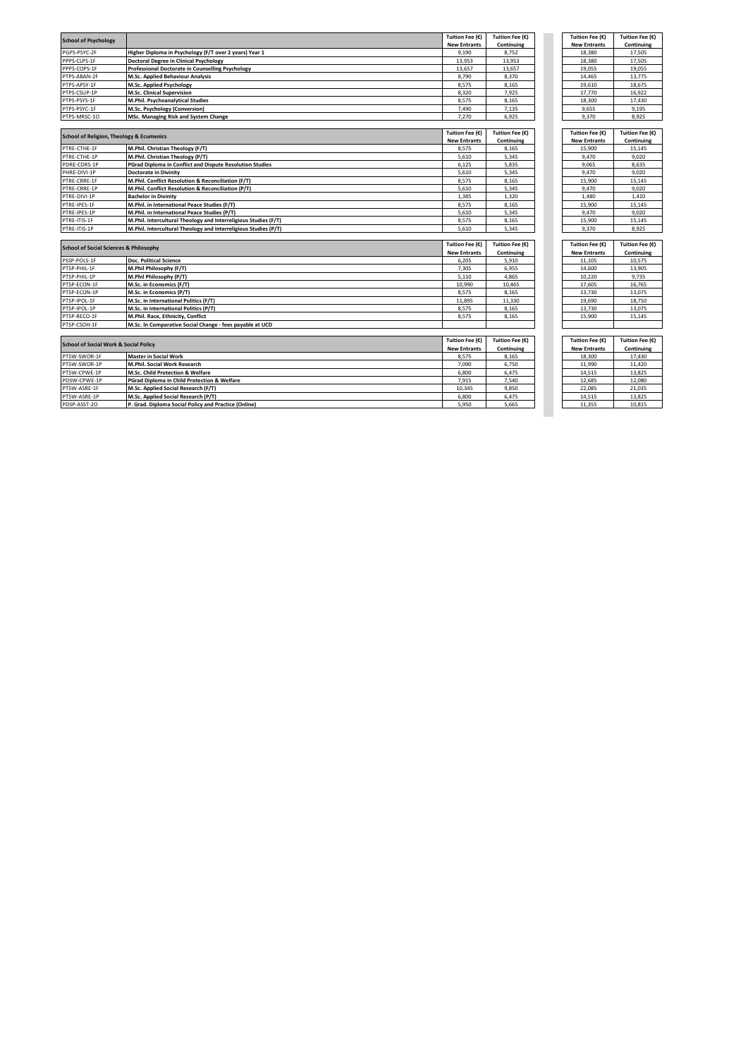| <b>School of Psychology</b>                         |                                                                 | Tuition Fee (€)     | Tuition Fee (€) | Tuition Fee (€)     | Tuition Fee (€) |
|-----------------------------------------------------|-----------------------------------------------------------------|---------------------|-----------------|---------------------|-----------------|
|                                                     |                                                                 | <b>New Entrants</b> | Continuing      | <b>New Entrants</b> | Continuing      |
| PGPS-PSYC-2F                                        | Higher Diploma in Psychology (F/T over 2 years) Year 1          | 9.190               | 8.752           | 18.380              | 17.505          |
| PPPS-CLPS-1F                                        | <b>Doctoral Degree in Clinical Psychology</b>                   | 13,953              | 13,953          | 18,380              | 17,505          |
| PPPS-COPS-1F                                        | <b>Professional Doctorate in Counselling Psychology</b>         | 13,657              | 13,657          | 19,055              | 19,055          |
| PTPS-ABAN-2F                                        | M.Sc. Applied Behaviour Analysis                                | 8,790               | 8,370           | 14,465              | 13,775          |
| PTPS-APSY-1F                                        | M.Sc. Applied Psychology                                        | 8,575               | 8,165           | 19,610              | 18,675          |
| PTPS-CSUP-1P                                        | M.Sc. Clinical Supervision                                      | 8,320               | 7,925           | 17,770              | 16,922          |
| PTPS-PSYS-1F                                        | M.Phil. Psychoanalytical Studies                                | 8,575               | 8,165           | 18,300              | 17,430          |
| PTPS-PSYC-1F                                        | M.Sc. Psychology (Conversion)                                   | 7,490               | 7,135           | 9,655               | 9.195           |
| PTPS-MRSC-10                                        | <b>MSc. Managing Risk and System Change</b>                     | 7,270               | 6,925           | 9,370               | 8,925           |
|                                                     |                                                                 |                     |                 |                     |                 |
| <b>School of Religion, Theology &amp; Ecumenics</b> |                                                                 | Tuition Fee (€)     | Tuition Fee (€) | Tuition Fee (€)     | Tuition Fee (€) |
|                                                     |                                                                 | <b>New Entrants</b> | Continuing      | <b>New Entrants</b> | Continuing      |
| PTRE-CTHE-1F                                        | M.Phil. Christian Theology (F/T)                                | 8,575               | 8,165           | 15,900              | 15,145          |
| PTRE-CTHE-1P                                        | M.Phil. Christian Theology (P/T)                                | 5,610               | 5,345           | 9,470               | 9,020           |
| PDRE-CDRS-1P                                        | <b>PGrad Diploma in Conflict and Dispute Resolution Studies</b> | 6,125               | 5,835           | 9,065               | 8,635           |
| PHRE-DIVI-1P                                        | <b>Doctorate in Divinity</b>                                    | 5,610               | 5,345           | 9,470               | 9,020           |
| PTRE-CRRE-1F                                        | M.Phil. Conflict Resolution & Reconciliation (F/T)              | 8,575               | 8,165           | 15,900              | 15,145          |
| PTRE-CRRE-1P                                        | M.Phil. Conflict Resolution & Reconciliation (P/T)              | 5,610               | 5,345           | 9.470               | 9.020           |
| PTRE-DIVI-1P                                        | <b>Bachelor in Divinity</b>                                     | 1,385               | 1,320           | 1,480               | 1,410           |
| PTRE-IPES-1F                                        | M.Phil. in International Peace Studies (F/T)                    | 8,575               | 8,165           | 15.900              | 15.145          |
| PTRE-IPES-1P                                        | M.Phil. in International Peace Studies (P/T)                    | 5,610               | 5,345           | 9,470               | 9,020           |
| PTRE-ITIS-1F                                        | M.Phil. Intercultural Theology and Interreligious Studies (F/T) | 8,575               | 8,165           | 15,900              | 15,145          |
| PTRE-ITIS-1P                                        | M.Phil. Intercultural Theology and Interreligious Studies (P/T) | 5,610               | 5,345           | 9.370               | 8,925           |
|                                                     |                                                                 |                     |                 |                     |                 |
|                                                     |                                                                 | Tuition Fee (€)     | Tuition Fee (€) | Tuition Fee (€)     | Tuition Fee (€) |
| <b>School of Social Sciences &amp; Philosophy</b>   |                                                                 | <b>New Entrants</b> | Continuing      | <b>New Entrants</b> | Continuing      |
| PSSP-POLS-1F                                        | Doc. Political Science                                          | 6,205               | 5,910           | 11,105              | 10,575          |
| PTSP-PHIL-1F                                        | M.Phil Philosophy (F/T)                                         | 7,305               | 6,955           | 14,600              | 13,905          |
| PTSP-PHIL-1P                                        | M.Phil Philosophy (P/T)                                         | 5,110               | 4,865           | 10,220              | 9,735           |
| PTSP-ECON-1F                                        | M.Sc. in Economics (F/T)                                        | 10,990              | 10,465          | 17,605              | 16,765          |
| PTSP-ECON-1P                                        | M.Sc. in Economics (P/T)                                        | 8,575               | 8,165           | 13,730              | 13,075          |
| PTSP-IPOL-1F                                        | M.Sc. in International Politics (F/T)                           | 11.895              | 11,330          | 19,690              | 18,750          |
| PTSP-IPOL-1P                                        | M.Sc. in International Politics (P/T)                           | 8,575               | 8,165           | 13,730              | 13,075          |
| PTSP-RECO-1F                                        | M.Phil. Race, Ethnicity, Conflict                               | 8,575               | 8,165           | 15,900              | 15,145          |
| PTSP-CSOH-1F                                        | M.Sc. In Comparative Social Change - fees payable at UCD        |                     |                 |                     |                 |
|                                                     |                                                                 |                     |                 |                     |                 |
|                                                     |                                                                 | Tuition Fee (€)     | Tuition Fee (€) | Tuition Fee (€)     | Tuition Fee (€) |
| <b>School of Social Work &amp; Social Policy</b>    |                                                                 | <b>New Entrants</b> | Continuing      | <b>New Entrants</b> | Continuing      |
| PTSW-SWOR-1F                                        | <b>Master in Social Work</b>                                    | 8,575               | 8,165           | 18,300              | 17,430          |
| PTSW-SWOR-1P                                        | M.Phil. Social Work Research                                    | 7,090               | 6,750           | 11,990              | 11.420          |
| PTSW-CPWE-1P                                        | M.Sc. Child Protection & Welfare                                | 6,800               | 6.475           | 14,515              | 13,825          |
| PDSW-CPWE-1P                                        | PGrad Diploma in Child Protection & Welfare                     | 7,915               | 7,540           | 12,685              | 12,080          |
| PTSW-ASRE-1F                                        | M.Sc. Applied Social Research (F/T)                             | 10,345              | 9,850           | 22,085              | 21.035          |
| PTSW-ASRE-1P                                        | M.Sc. Applied Social Research (P/T)                             | 6,800               | 6.475           | 14.515              | 13.825          |
| PDSP-ASST-20                                        | P. Grad. Diploma Social Policy and Practice (Online)            | 5.950               | 5.665           | 11.355              | 10.815          |
|                                                     |                                                                 |                     |                 |                     |                 |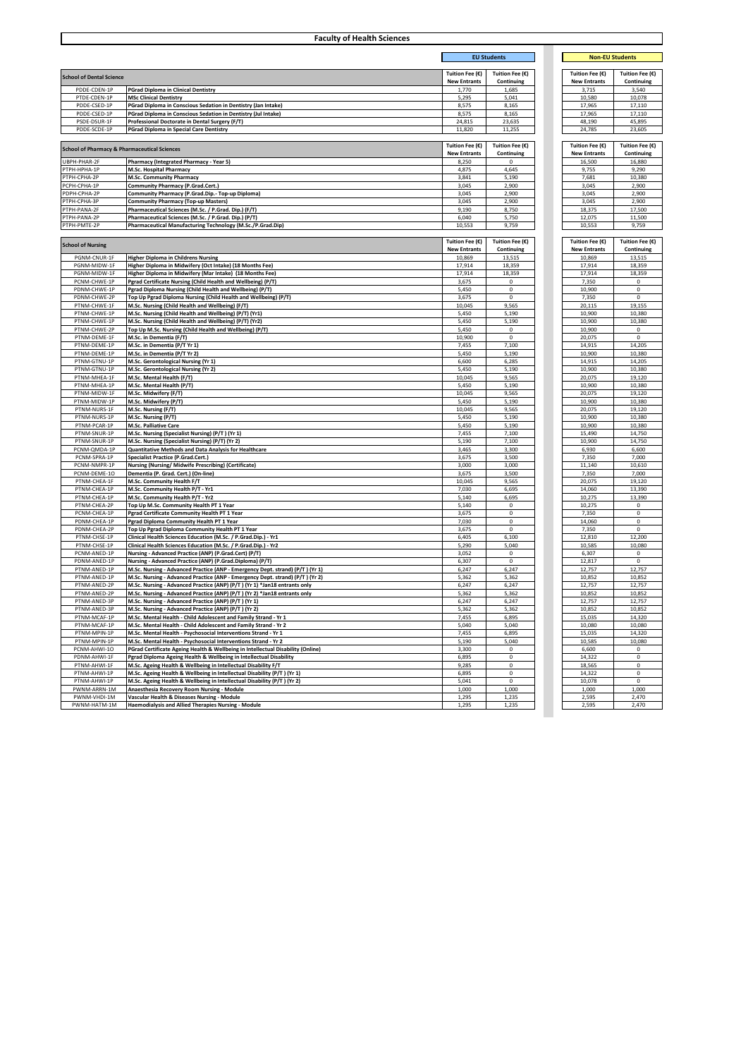|                                                         | <b>Faculty of Health Sciences</b>                                                                  |                                        |                               |                                        |                               |  |
|---------------------------------------------------------|----------------------------------------------------------------------------------------------------|----------------------------------------|-------------------------------|----------------------------------------|-------------------------------|--|
|                                                         | <b>EU Students</b>                                                                                 |                                        |                               | <b>Non-EU Students</b>                 |                               |  |
|                                                         |                                                                                                    |                                        |                               |                                        |                               |  |
| <b>School of Dental Science</b>                         |                                                                                                    | Tuition Fee (€)<br><b>New Entrants</b> | Tuition Fee (€)<br>Continuing | Tuition Fee (€)<br><b>New Entrants</b> | Tuition Fee (€)<br>Continuing |  |
| PDDE-CDEN-1P                                            | <b>PGrad Diploma in Clinical Dentistry</b>                                                         | 1,770                                  | 1,685                         | 3,715                                  | 3,540                         |  |
| PTDE-CDEN-1P                                            | <b>MSc Clinical Dentistry</b>                                                                      | 5,295                                  | 5,041                         | 10,580                                 | 10,078                        |  |
| PDDE-CSED-1P                                            | PGrad Diploma in Conscious Sedation in Dentistry (Jan Intake)                                      | 8,575                                  | 8,165                         | 17,965                                 | 17,110                        |  |
| PDDE-CSED-1P                                            | PGrad Diploma in Conscious Sedation in Dentistry (Jul Intake)                                      | 8,575                                  | 8,165                         | 17,965                                 | 17,110                        |  |
| PSDE-DSUR-1F<br>PDDE-SCDE-1P                            | Professional Doctorate in Dental Surgery (F/T)                                                     | 24,815                                 | 23,635                        | 48,190                                 | 45,895                        |  |
|                                                         | <b>PGrad Diploma in Special Care Dentistry</b>                                                     | 11,820                                 | 11,255                        | 24,785                                 | 23,605                        |  |
| <b>School of Pharmacy &amp; Pharmaceutical Sciences</b> |                                                                                                    | Tuition Fee (€)<br><b>New Entrants</b> | Tuition Fee (€)<br>Continuing | Tuition Fee (€)<br><b>New Entrants</b> | Tuition Fee (€)<br>Continuin  |  |
| UBPH-PHAR-2F                                            | Pharmacy (Integrated Pharmacy - Year 5)                                                            | 8,250                                  | $\mathbf 0$                   | 16,500                                 | 16,880                        |  |
| РТРН-НРНА-1Р                                            | M.Sc. Hospital Pharmacy                                                                            | 4,875                                  | 4,645                         | 9,755                                  | 9,290                         |  |
| PTPH-CPHA-2P                                            | M.Sc. Community Pharmacy                                                                           | 3,841                                  | 5,190                         | 7,681                                  | 10,380                        |  |
| PCPH-CPHA-1P                                            | Community Pharmacy (P.Grad.Cert.)                                                                  | 3,045                                  | 2,900                         | 3,045                                  | 2,900                         |  |
| PDPH-CPHA-2P                                            | Community Pharmacy (P.Grad.Dip.- Top-up Diploma)                                                   | 3,045                                  | 2,900                         | 3,045                                  | 2,900                         |  |
| РТРН-СРНА-ЗР                                            | <b>Community Pharmacy (Top-up Masters)</b>                                                         | 3,045                                  | 2,900                         | 3,045                                  | 2,900                         |  |
| PTPH-PANA-2F                                            | Pharmaceutical Sciences (M.Sc. / P.Grad. Dip.) (F/T)                                               | 9,190                                  | 8,750                         | 18,375                                 | 17,500                        |  |
| PTPH-PANA-2P                                            | Pharmaceutical Sciences (M.Sc. / P.Grad. Dip.) (P/T)                                               | 6,040                                  | 5,750                         | 12,075                                 | 11,500                        |  |
| PTPH-PMTE-2P                                            | Pharmaceutical Manufacturing Technology (M.Sc./P.Grad.Dip)                                         | 10,553                                 | 9,759                         | 10,553                                 | 9,759                         |  |
| <b>School of Nursing</b>                                |                                                                                                    | Tuition Fee (€)                        | Tuition Fee (€)               | Tuition Fee (€)                        | Tuition Fee (€)               |  |
| PGNM-CNUR-1F                                            | <b>Higher Diploma in Childrens Nursing</b>                                                         | <b>New Entrants</b><br>10,869          | Continuing<br>13,515          | <b>New Entrants</b><br>10,869          | Continuing<br>13,515          |  |
| PGNM-MIDW-1F                                            | Higher Diploma in Midwifery (Oct Intake) (18 Months Fee)                                           | 17,914                                 | 18,359                        | 17,914                                 | 18,359                        |  |
| PGNM-MIDW-1F                                            | Higher Diploma in Midwifery (Mar Intake) (18 Months Fee)                                           | 17,914                                 | 18,359                        | 17,914                                 | 18,359                        |  |
| PCNM-CHWE-1P                                            | Pgrad Certificate Nursing (Child Health and Wellbeing) (P/T)                                       | 3,675                                  | 0                             | 7,350                                  | 0                             |  |
| PDNM-CHWE-1P                                            | Pgrad Diploma Nursing (Child Health and Wellbeing) (P/T)                                           | 5,450                                  | $\mathbf 0$                   | 10,900                                 | $\pmb{0}$                     |  |
| PDNM-CHWE-2P                                            | Top Up Pgrad Diploma Nursing (Child Health and Wellbeing) (P/T)                                    | 3,675                                  | $\mathbf 0$                   | 7,350                                  | $\mathbf 0$                   |  |
| PTNM-CHWE-1F                                            | M.Sc. Nursing (Child Health and Wellbeing) (F/T)                                                   | 10,045                                 | 9,565                         | 20,115                                 | 19,155                        |  |
| PTNM-CHWE-1P                                            | M.Sc. Nursing (Child Health and Wellbeing) (P/T) (Yr1)                                             | 5,450                                  | 5,190                         | 10,900                                 | 10,380                        |  |
| PTNM-CHWE-1P                                            | M.Sc. Nursing (Child Health and Wellbeing) (P/T) (Yr2)                                             | 5,450                                  | 5,190                         | 10,900                                 | 10,380                        |  |
| PTNM-CHWE-2P                                            | Top Up M.Sc. Nursing (Child Health and Wellbeing) (P/T)                                            | 5,450                                  | 0                             | 10,900                                 | 0                             |  |
| PTNM-DEME-1F                                            | M.Sc. in Dementia (F/T)                                                                            | 10,900                                 | $\mathbf 0$                   | 20,075                                 | $\mathbf 0$                   |  |
| PTNM-DEME-1P                                            | M.Sc. in Dementia (P/T Yr 1)                                                                       | 7,455                                  | 7,100                         | 14,915                                 | 14,205                        |  |
| PTNM-DEME-1P                                            | M.Sc. in Dementia (P/T Yr 2)                                                                       | 5,450                                  | 5,190                         | 10,900                                 | 10,380                        |  |
| PTNM-GTNU-1P                                            | M.Sc. Gerontological Nursing (Yr 1)                                                                | 6,600                                  | 6,285                         | 14,915                                 | 14,205                        |  |
| PTNM-GTNU-1P                                            | M.Sc. Gerontological Nursing (Yr 2)                                                                | 5,450                                  | 5,190                         | 10,900                                 | 10,380                        |  |
| PTNM-MHEA-1F                                            | M.Sc. Mental Health (F/T)                                                                          | 10,045                                 | 9,565                         | 20,075                                 | 19,120                        |  |
| PTNM-MHEA-1P                                            | M.Sc. Mental Health (P/T)                                                                          | 5,450                                  | 5,190                         | 10,900                                 | 10,380                        |  |
| PTNM-MIDW-1F                                            | M.Sc. Midwifery (F/T)                                                                              | 10,045                                 | 9,565                         | 20,075                                 | 19,120                        |  |
| PTNM-MIDW-1P                                            | M.Sc. Midwifery (P/T)                                                                              | 5,450                                  | 5,190                         | 10,900                                 | 10,380                        |  |
| PTNM-NURS-1F                                            | M.Sc. Nursing (F/T)                                                                                | 10,045                                 | 9,565                         | 20,075                                 | 19,120                        |  |
| PTNM-NURS-1P                                            | M.Sc. Nursing (P/T)                                                                                | 5,450                                  | 5,190                         | 10,900                                 | 10,380                        |  |
| PTNM-PCAR-1P                                            | M.Sc. Palliative Care                                                                              | 5,450                                  | 5,190                         | 10,900                                 | 10,380                        |  |
| PTNM-SNUR-1P                                            | M.Sc. Nursing (Specialist Nursing) (P/T) (Yr 1)                                                    | 7,455                                  | 7,100                         | 15,490                                 | 14,750                        |  |
| PTNM-SNUR-1P                                            | M.Sc. Nursing (Specialist Nursing) (P/T) (Yr 2)                                                    | 5,190                                  | 7,100                         | 10,900                                 | 14,750                        |  |
| PCNM-QMDA-1P                                            | Quantitative Methods and Data Analysis for Healthcare                                              | 3,465                                  | 3,300                         | 6,930                                  | 6,600                         |  |
| PCNM-SPRA-1P                                            | Specialist Practice (P.Grad.Cert.)                                                                 | 3,675                                  | 3,500                         | 7,350                                  | 7,000                         |  |
| PCNM-NMPR-1P                                            | Nursing (Nursing/ Midwife Prescribing) (Certificate)                                               | 3,000                                  | 3,000                         | 11,140                                 | 10,610                        |  |
| PCNM-DEME-10                                            | Dementia (P. Grad. Cert.) (On-line)                                                                | 3,675                                  | 3,500                         | 7,350                                  | 7,000                         |  |
| PTNM-CHEA-1F                                            | M.Sc. Community Health F/T                                                                         | 10,045                                 | 9,565                         | 20,075                                 | 19,120                        |  |
| PTNM-CHEA-1P                                            | M.Sc. Community Health P/T - Yr1                                                                   | 7,030                                  | 6,695                         | 14,060                                 | 13,390                        |  |
| PTNM-CHEA-1P                                            | M.Sc. Community Health P/T - Yr2                                                                   | 5,140                                  | 6,695                         | 10,275                                 | 13,390                        |  |
| PTNM-CHEA-2P<br>PCNM-CHEA-1P                            | Top Up M.Sc. Community Health PT 1 Year                                                            | 5,140                                  | 0<br>$\mathbf 0$              | 10,275                                 | 0<br>0                        |  |
| PDNM-CHEA-1P                                            | Pgrad Certificate Community Health PT 1 Year<br>Pgrad Diploma Community Health PT 1 Year           | 3,675<br>7,030                         | $\mathbf 0$                   | 7,350<br>14,060                        | $\pmb{0}$                     |  |
| PDNM-CHEA-2P                                            | Top Up Pgrad Diploma Community Health PT 1 Year                                                    | 3,675                                  | 0                             | 7,350                                  | $\mathbf 0$                   |  |
| PTNM-CHSE-1P                                            | Clinical Health Sciences Education (M.Sc. / P.Grad.Dip.) - Yr1                                     | 6,405                                  | 6,100                         | 12,810                                 | 12,200                        |  |
| PTNM-CHSE-1P                                            | Clinical Health Sciences Education (M.Sc. / P.Grad.Dip.) - Yr2                                     | 5,290                                  | 5,040                         | 10,585                                 | 10,080                        |  |
| PCNM-ANED-1P                                            | Nursing - Advanced Practice (ANP) (P.Grad.Cert) (P/T)                                              | 3,052                                  | 0                             | 6,307                                  | 0                             |  |
| PDNM-ANED-1P                                            | Nursing - Advanced Practice (ANP) (P.Grad.Diploma) (P/T)                                           | 6,307                                  | 0                             | 12,817                                 | $\pmb{0}$                     |  |
| PTNM-ANED-1P                                            | M.Sc. Nursing - Advanced Practice (ANP - Emergency Dept. strand) (P/T) (Yr 1)                      | 6,247                                  | 6,247                         | 12,757                                 | 12,757                        |  |
| PTNM-ANED-1P                                            | M.Sc. Nursing - Advanced Practice (ANP - Emergency Dept. strand) (P/T) (Yr 2)                      | 5,362                                  | 5,362                         | 10,852                                 | 10,852                        |  |
| PTNM-ANED-2P                                            | M.Sc. Nursing - Advanced Practice (ANP) (P/T) (Yr 1) *Jan18 entrants only                          | 6,247                                  | 6,247                         | 12,757                                 | 12,757                        |  |
| PTNM-ANED-2P                                            | M.Sc. Nursing - Advanced Practice (ANP) (P/T) (Yr 2) *Jan18 entrants only                          | 5,362                                  | 5,362                         | 10,852                                 | 10,852                        |  |
| PTNM-ANED-3P                                            | M.Sc. Nursing - Advanced Practice (ANP) (P/T) (Yr 1)                                               | 6,247                                  | 6,247                         | 12.757                                 | 12.757                        |  |
| PTNM-ANED-3P                                            | M.Sc. Nursing - Advanced Practice (ANP) (P/T) (Yr 2)                                               | 5,362                                  | 5,362                         | 10,852                                 | 10,852                        |  |
| PTNM-MCAF-1P                                            | M.Sc. Mental Health - Child Adolescent and Family Strand - Yr 1                                    | 7,455                                  | 6,895                         | 15,035                                 | 14,320                        |  |
| PTNM-MCAF-1P                                            | M.Sc. Mental Health - Child Adolescent and Family Strand - Yr 2                                    | 5,040                                  | 5,040                         | 10,080                                 | 10,080                        |  |
| PTNM-MPIN-1P                                            | M.Sc. Mental Health - Psychosocial Interventions Strand - Yr 1                                     | 7,455                                  | 6,895                         | 15,035                                 | 14,320                        |  |
| PTNM-MPIN-1P                                            | M.Sc. Mental Health - Psychosocial Interventions Strand - Yr 2                                     | 5,190                                  | 5,040                         | 10,585                                 | 10,080                        |  |
| PCNM-AHWI-10                                            | PGrad Certificate Ageing Health & Wellbeing in Intellectual Disability (Online)                    | 3,300                                  | $\mathbf 0$                   | 6,600                                  | 0                             |  |
| PDNM-AHWI-1F                                            | Pgrad Diploma Ageing Health & Wellbeing in Intellectual Disability                                 | 6,895                                  | $\mathbf 0$                   | 14,322                                 | $\mathbf 0$                   |  |
| PTNM-AHWI-1F                                            | M.Sc. Ageing Health & Wellbeing in Intellectual Disability F/T                                     | 9,285                                  | $\mathbf 0$                   | 18,565                                 | $\mathbf 0$                   |  |
| PTNM-AHWI-1P                                            | M.Sc. Ageing Health & Wellbeing in Intellectual Disability (P/T) (Yr 1)                            | 6,895                                  | $\mathbf 0$                   | 14,322                                 | $\mathbf 0$                   |  |
|                                                         | M.Sc. Ageing Health & Wellbeing in Intellectual Disability (P/T) (Yr 2)                            | 5,041                                  | $\mathbf 0$                   | 10,078                                 | 0                             |  |
| PTNM-AHWI-1P                                            |                                                                                                    |                                        |                               |                                        |                               |  |
| PWNM-ARRN-1M                                            | Anaesthesia Recovery Room Nursing - Module                                                         | 1,000                                  | 1,000                         | 1,000                                  | 1,000                         |  |
| PWNM-VHDI-1M<br>PWNM-HATM-1M                            | Vascular Health & Diseases Nursing - Module<br>Haemodialysis and Allied Therapies Nursing - Module | 1,295<br>1,295                         | 1,235<br>1,235                | 2,595<br>2,595                         | 2,470<br>2,470                |  |